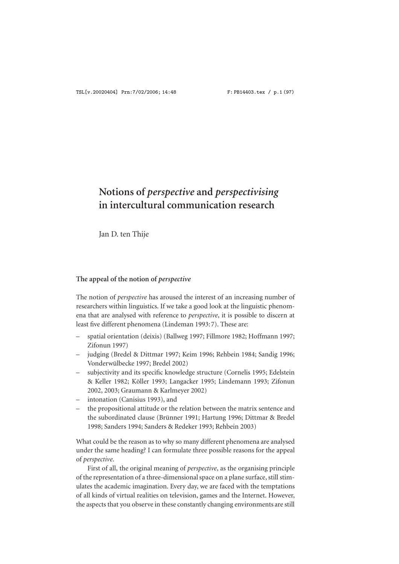# **Notions of** *perspective* **and** *perspectivising* **in intercultural communication research**

Jan D. ten Thije

# **The appeal of the notion of** *perspective*

The notion of *perspective* has aroused the interest of an increasing number of researchers within linguistics. If we take a good look at the linguistic phenomena that are analysed with reference to *perspective*, it is possible to discern at least five different phenomena (Lindeman 1993:7). These are:

- spatial orientation (deixis) (Ballweg 1997; Fillmore 1982; Hoffmann 1997; Zifonun 1997)
- judging (Bredel & Dittmar 1997; Keim 1996; Rehbein 1984; Sandig 1996; Vonderwülbecke 1997; Bredel 2002)
- subjectivity and its specific knowledge structure (Cornelis 1995; Edelstein & Keller 1982; Köller 1993; Langacker 1995; Lindemann 1993; Zifonun 2002, 2003; Graumann & Karlmeyer 2002)
- intonation (Canisius 1993), and
- the propositional attitude or the relation between the matrix sentence and the subordinated clause (Brünner 1991; Hartung 1996; Dittmar & Bredel 1998; Sanders 1994; Sanders & Redeker 1993; Rehbein 2003)

What could be the reason as to why so many different phenomena are analysed under the same heading? I can formulate three possible reasons for the appeal of *perspective*.

First of all, the original meaning of *perspective*, as the organising principle of the representation of a three-dimensional space on a plane surface, still stimulates the academic imagination. Every day, we are faced with the temptations of all kinds of virtual realities on television, games and the Internet. However, the aspects that you observe in these constantly changing environments are still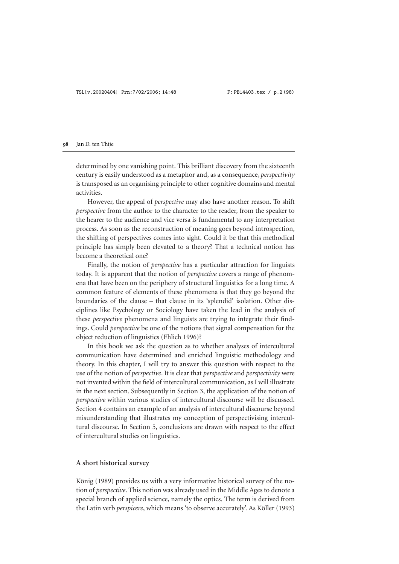determined by one vanishing point. This brilliant discovery from the sixteenth century is easily understood as a metaphor and, as a consequence, *perspectivity* is transposed as an organising principle to other cognitive domains and mental activities.

However, the appeal of *perspective* may also have another reason. To shift *perspective* from the author to the character to the reader, from the speaker to the hearer to the audience and vice versa is fundamental to any interpretation process. As soon as the reconstruction of meaning goes beyond introspection, the shifting of perspectives comes into sight. Could it be that this methodical principle has simply been elevated to a theory? That a technical notion has become a theoretical one?

Finally, the notion of *perspective* has a particular attraction for linguists today. It is apparent that the notion of *perspective* covers a range of phenomena that have been on the periphery of structural linguistics for a long time. A common feature of elements of these phenomena is that they go beyond the boundaries of the clause – that clause in its 'splendid' isolation. Other disciplines like Psychology or Sociology have taken the lead in the analysis of these *perspective* phenomena and linguists are trying to integrate their findings. Could *perspective* be one of the notions that signal compensation for the object reduction of linguistics (Ehlich 1996)?

In this book we ask the question as to whether analyses of intercultural communication have determined and enriched linguistic methodology and theory. In this chapter, I will try to answer this question with respect to the use of the notion of *perspective*. It is clear that *perspective* and *perspectivity* were not invented within the field of intercultural communication, as I will illustrate in the next section. Subsequently in Section 3, the application of the notion of *perspective* within various studies of intercultural discourse will be discussed. Section 4 contains an example of an analysis of intercultural discourse beyond misunderstanding that illustrates my conception of perspectivising intercultural discourse. In Section 5, conclusions are drawn with respect to the effect of intercultural studies on linguistics.

### **A short historical survey**

König (1989) provides us with a very informative historical survey of the notion of *perspective*. This notion was already used in the Middle Ages to denote a special branch of applied science, namely the optics. The term is derived from the Latin verb *perspicere*, which means 'to observe accurately'. As Köller (1993)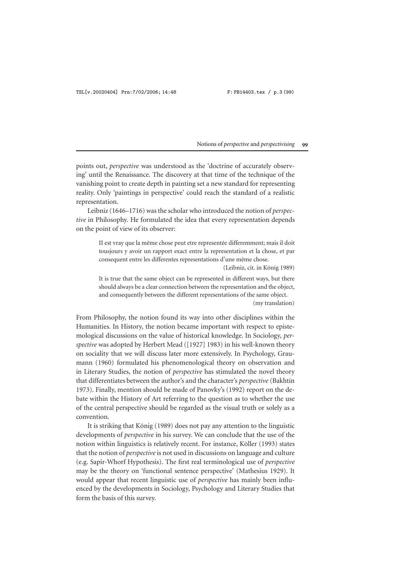points out, *perspective* was understood as the 'doctrine of accurately observing' until the Renaissance. The discovery at that time of the technique of the vanishing point to create depth in painting set a new standard for representing reality. Only 'paintings in perspective' could reach the standard of a realistic representation.

Leibniz (1646–1716) was the scholar who introduced the notion of *perspective* in Philosophy. He formulated the idea that every representation depends on the point of view of its observer:

> II est vray que la même chose peut etre representée differemment; mais il doit tousjours y avoir un rapport exact entre la representation et la chose, et par consequent entre les differentes representations d'une même chose.

> > (Leibniz, cit. in König 1989)

It is true that the same object can be represented in different ways, but there should always be a clear connection between the representation and the object, and consequently between the different representations of the same object. (my translation)

From Philosophy, the notion found its way into other disciplines within the Humanities. In History, the notion became important with respect to epistemological discussions on the value of historical knowledge. In Sociology, *perspective* was adopted by Herbert Mead ([1927] 1983) in his well-known theory on sociality that we will discuss later more extensively. In Psychology, Graumann (1960) formulated his phenomenological theory on observation and in Literary Studies, the notion of *perspective* has stimulated the novel theory that differentiates between the author's and the character's *perspective* (Bakhtin 1973). Finally, mention should be made of Panovky's (1992) report on the debate within the History of Art referring to the question as to whether the use of the central perspective should be regarded as the visual truth or solely as a convention.

It is striking that König (1989) does not pay any attention to the linguistic developments of *perspective* in his survey. We can conclude that the use of the notion within linguistics is relatively recent. For instance, Köller (1993) states that the notion of *perspective* is not used in discussions on language and culture (e.g. Sapir-Whorf Hypothesis). The first real terminological use of *perspective* may be the theory on 'functional sentence perspective' (Mathesius 1929). It would appear that recent linguistic use of *perspective* has mainly been influenced by the developments in Sociology, Psychology and Literary Studies that form the basis of this survey.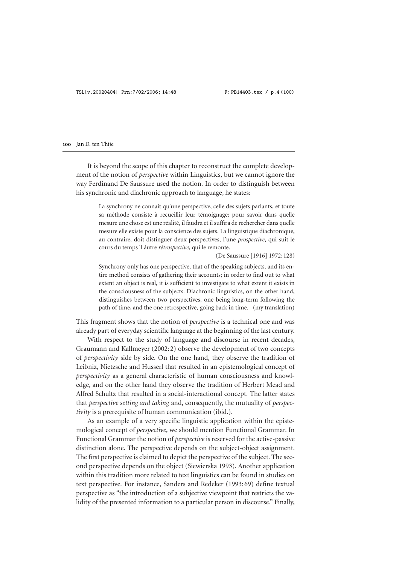It is beyond the scope of this chapter to reconstruct the complete development of the notion of *perspective* within Linguistics, but we cannot ignore the way Ferdinand De Saussure used the notion. In order to distinguish between his synchronic and diachronic approach to language, he states:

> La synchrony ne connait qu'une perspective, celle des sujets parlants, et toute sa méthode consiste à recueillir leur témoignage; pour savoir dans quelle mesure une chose est une réalité, il faudra et il suffira de rechercher dans quelle mesure elle existe pour la conscience des sujets. La linguistique diachronique, au contraire, doit distinguer deux perspectives, l'une *prospective*, qui suit le cours du temps 'l áutre *rétrospective*, qui le remonte.

### (De Saussure [1916] 1972:128)

Synchrony only has one perspective, that of the speaking subjects, and its entire method consists of gathering their accounts; in order to find out to what extent an object is real, it is sufficient to investigate to what extent it exists in the consciousness of the subjects. Diachronic linguistics, on the other hand, distinguishes between two perspectives, one being long-term following the path of time, and the one retrospective, going back in time. (my translation)

This fragment shows that the notion of *perspective* is a technical one and was already part of everyday scientific language at the beginning of the last century.

With respect to the study of language and discourse in recent decades, Graumann and Kallmeyer (2002:2) observe the development of two concepts of *perspectivity* side by side. On the one hand, they observe the tradition of Leibniz, Nietzsche and Husserl that resulted in an epistemological concept of *perspectivity* as a general characteristic of human consciousness and knowledge, and on the other hand they observe the tradition of Herbert Mead and Alfred Schultz that resulted in a social-interactional concept. The latter states that *perspective setting and taking* and, consequently, the mutuality of *perspectivity* is a prerequisite of human communication (ibid.).

As an example of a very specific linguistic application within the epistemological concept of *perspective*, we should mention Functional Grammar. In Functional Grammar the notion of *perspective* is reserved for the active-passive distinction alone. The perspective depends on the subject-object assignment. The first perspective is claimed to depict the perspective of the subject. The second perspective depends on the object (Siewierska 1993). Another application within this tradition more related to text linguistics can be found in studies on text perspective. For instance, Sanders and Redeker (1993:69) define textual perspective as "the introduction of a subjective viewpoint that restricts the validity of the presented information to a particular person in discourse." Finally,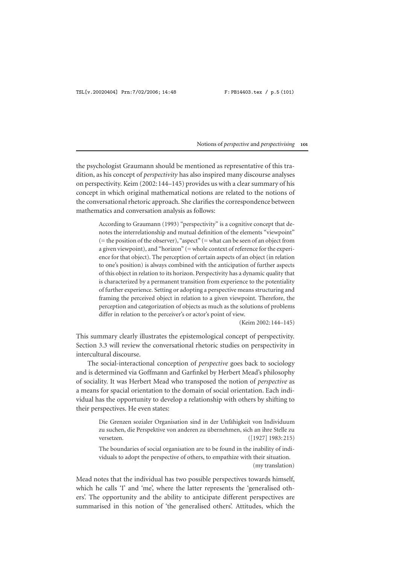the psychologist Graumann should be mentioned as representative of this tradition, as his concept of *perspectivity* has also inspired many discourse analyses on perspectivity. Keim (2002: 144–145) provides us with a clear summary of his concept in which original mathematical notions are related to the notions of the conversational rhetoric approach. She clarifies the correspondence between mathematics and conversation analysis as follows:

> According to Graumann (1993) "perspectivity" is a cognitive concept that denotes the interrelationship and mutual definition of the elements "viewpoint"  $($  = the position of the observer), "aspect"  $($  = what can be seen of an object from a given viewpoint), and "horizon" (= whole context of reference for the experience for that object). The perception of certain aspects of an object (in relation to one's position) is always combined with the anticipation of further aspects of this object in relation to its horizon. Perspectivity has a dynamic quality that is characterized by a permanent transition from experience to the potentiality of further experience. Setting or adopting a perspective means structuring and framing the perceived object in relation to a given viewpoint. Therefore, the perception and categorization of objects as much as the solutions of problems differ in relation to the perceiver's or actor's point of view.

> > (Keim 2002:144–145)

This summary clearly illustrates the epistemological concept of perspectivity. Section 3.3 will review the conversational rhetoric studies on perspectivity in intercultural discourse.

The social-interactional conception of *perspective* goes back to sociology and is determined via Goffmann and Garfinkel by Herbert Mead's philosophy of sociality. It was Herbert Mead who transposed the notion of *perspective* as a means for spacial orientation to the domain of social orientation. Each individual has the opportunity to develop a relationship with others by shifting to their perspectives. He even states:

> Die Grenzen sozialer Organisation sind in der Unfähigkeit von Individuum zu suchen, die Perspektive von anderen zu übernehmen, sich an ihre Stelle zu versetzen. ([1927] 1983:215)

> The boundaries of social organisation are to be found in the inability of individuals to adopt the perspective of others, to empathize with their situation.

> > (my translation)

Mead notes that the individual has two possible perspectives towards himself, which he calls 'I' and 'me', where the latter represents the 'generalised others'. The opportunity and the ability to anticipate different perspectives are summarised in this notion of 'the generalised others'. Attitudes, which the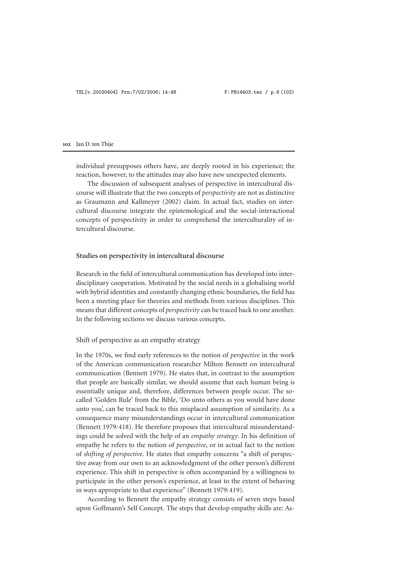individual presupposes others have, are deeply rooted in his experience; the reaction, however, to the attitudes may also have new unexpected elements.

The discussion of subsequent analyses of perspective in intercultural discourse will illustrate that the two concepts of *perspectivity* are not as distinctive as Graumann and Kallmeyer (2002) claim. In actual fact, studies on intercultural discourse integrate the epistemological and the social-interactional concepts of perspectivity in order to comprehend the interculturality of intercultural discourse.

### **Studies on perspectivity in intercultural discourse**

Research in the field of intercultural communication has developed into interdisciplinary cooperation. Motivated by the social needs in a globalising world with hybrid identities and constantly changing ethnic boundaries, the field has been a meeting place for theories and methods from various disciplines. This means that different concepts of *perspectivity* can be traced back to one another. In the following sections we discuss various concepts.

Shift of perspective as an empathy strategy

In the 1970s, we find early references to the notion of *perspective* in the work of the American communication researcher Milton Bennett on intercultural communication (Bennett 1979). He states that, in contrast to the assumption that people are basically similar, we should assume that each human being is essentially unique and, therefore, differences between people occur. The socalled 'Golden Rule' from the Bible, 'Do unto others as you would have done unto you', can be traced back to this misplaced assumption of similarity. As a consequence many misunderstandings occur in intercultural communication (Bennett 1979:418). He therefore proposes that intercultural misunderstandings could be solved with the help of an *empathy strategy*. In his definition of empathy he refers to the notion of *perspective*, or in actual fact to the notion of *shifting of perspective*. He states that empathy concerns "a shift of perspective away from our own to an acknowledgment of the other person's different experience. This shift in perspective is often accompanied by a willingness to participate in the other person's experience, at least to the extent of behaving in ways appropriate to that experience" (Bennett 1979: 419).

According to Bennett the empathy strategy consists of seven steps based upon Goffmann's Self Concept. The steps that develop empathy skills are: As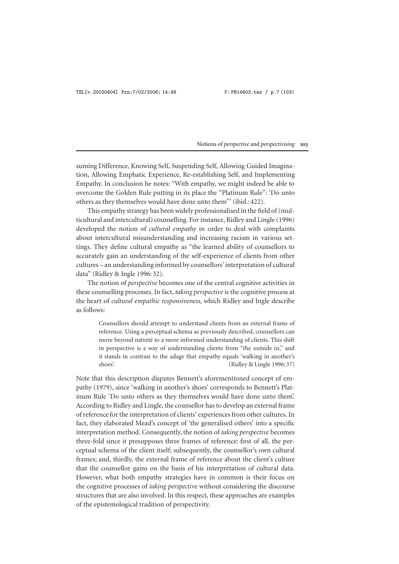suming Difference, Knowing Self, Suspending Self, Allowing Guided Imagination, Allowing Emphatic Experience, Re-establishing Self, and Implementing Empathy. In conclusion he notes: "With empathy, we might indeed be able to overcome the Golden Rule putting in its place the "Platinum Rule": 'Do unto others as they themselves would have done unto them"' (ibid.:422).

This empathy strategy has been widely professionalised in the field of (multicultural and intercultural) counselling. For instance, Ridley and Lingle (1996) developed the notion of *cultural empathy* in order to deal with complaints about intercultural misunderstanding and increasing racism in various settings. They define cultural empathy as "the learned ability of counsellors to accurately gain an understanding of the self-experience of clients from other cultures – an understanding informed by counsellors' interpretation of cultural data" (Ridley & Ingle 1996: 32).

The notion of *perspective* becomes one of the central cognitive activities in these counselling processes. In fact, *taking perspective* is the cognitive process at the heart of *cultural empathic responsiveness*, which Ridley and Ingle describe as follows:

> Counsellors should attempt to understand clients from an external frame of reference. Using a perceptual schema as previously described, counsellors can move beyond naïveté to a more informed understanding of clients. This shift in perspective is a way of understanding clients from "the outside in," and it stands in contrast to the adage that empathy equals 'walking in another's shoes'. (Ridley & Lingle 1996:37)

Note that this description disputes Bennett's aforementioned concept of empathy (1979), since 'walking in another's shoes' corresponds to Bennett's Platinum Rule 'Do unto others as they themselves would have done unto them'. According to Ridley and Lingle, the counsellor has to develop an external frame of reference for the interpretation of clients' experiences from other cultures. In fact, they elaborated Mead's concept of 'the generalised others' into a specific interpretation method. Consequently, the notion of *taking perspective* becomes three-fold since it presupposes three frames of reference: first of all, the perceptual schema of the client itself; subsequently, the counsellor's own cultural frames; and, thirdly, the external frame of reference about the client's culture that the counsellor gains on the basis of his interpretation of cultural data. However, what both empathy strategies have in common is their focus on the cognitive processes of *taking perspective* without considering the discourse structures that are also involved. In this respect, these approaches are examples of the epistemological tradition of perspectivity.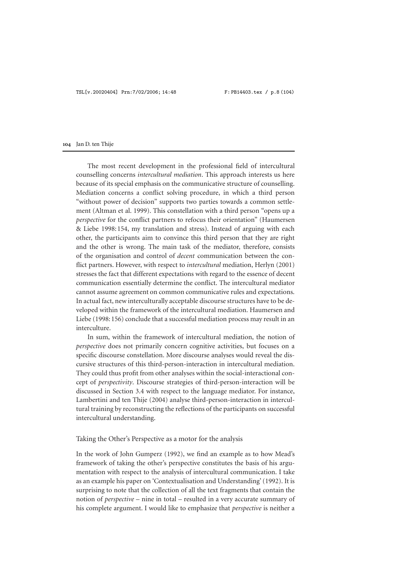The most recent development in the professional field of intercultural counselling concerns *intercultural mediation*. This approach interests us here because of its special emphasis on the communicative structure of counselling. Mediation concerns a conflict solving procedure, in which a third person "without power of decision" supports two parties towards a common settlement (Altman et al. 1999). This constellation with a third person "opens up a *perspective* for the conflict partners to refocus their orientation" (Haumersen & Liebe 1998: 154, my translation and stress). Instead of arguing with each other, the participants aim to convince this third person that they are right and the other is wrong. The main task of the mediator, therefore, consists of the organisation and control of *decent* communication between the conflict partners. However, with respect to *intercultural* mediation, Herlyn (2001) stresses the fact that different expectations with regard to the essence of decent communication essentially determine the conflict. The intercultural mediator cannot assume agreement on common communicative rules and expectations. In actual fact, new interculturally acceptable discourse structures have to be developed within the framework of the intercultural mediation. Haumersen and Liebe (1998: 156) conclude that a successful mediation process may result in an interculture.

In sum, within the framework of intercultural mediation, the notion of *perspective* does not primarily concern cognitive activities, but focuses on a specific discourse constellation. More discourse analyses would reveal the discursive structures of this third-person-interaction in intercultural mediation. They could thus profit from other analyses within the social-interactional concept of *perspectivity*. Discourse strategies of third-person-interaction will be discussed in Section 3.4 with respect to the language mediator. For instance, Lambertini and ten Thije (2004) analyse third-person-interaction in intercultural training by reconstructing the reflections of the participants on successful intercultural understanding.

#### Taking the Other's Perspective as a motor for the analysis

In the work of John Gumperz (1992), we find an example as to how Mead's framework of taking the other's perspective constitutes the basis of his argumentation with respect to the analysis of intercultural communication. I take as an example his paper on 'Contextualisation and Understanding' (1992). It is surprising to note that the collection of all the text fragments that contain the notion of *perspective* – nine in total – resulted in a very accurate summary of his complete argument. I would like to emphasize that *perspective* is neither a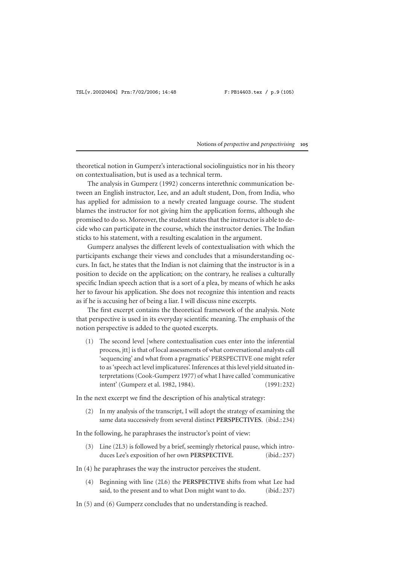theoretical notion in Gumperz's interactional sociolinguistics nor in his theory on contextualisation, but is used as a technical term.

The analysis in Gumperz (1992) concerns interethnic communication between an English instructor, Lee, and an adult student, Don, from India, who has applied for admission to a newly created language course. The student blames the instructor for not giving him the application forms, although she promised to do so. Moreover, the student states that the instructor is able to decide who can participate in the course, which the instructor denies. The Indian sticks to his statement, with a resulting escalation in the argument.

Gumperz analyses the different levels of contextualisation with which the participants exchange their views and concludes that a misunderstanding occurs. In fact, he states that the Indian is not claiming that the instructor is in a position to decide on the application; on the contrary, he realises a culturally specific Indian speech action that is a sort of a plea, by means of which he asks her to favour his application. She does not recognize this intention and reacts as if he is accusing her of being a liar. I will discuss nine excerpts.

The first excerpt contains the theoretical framework of the analysis. Note that perspective is used in its everyday scientific meaning. The emphasis of the notion perspective is added to the quoted excerpts.

(1) The second level [where contextualisation cues enter into the inferential process, jtt] is that of local assessments of what conversational analysts call 'sequencing' and what from a pragmatics' PERSPECTIVE one might refer to as 'speech act level implicatures'. Inferences at this level yield situated interpretations (Cook-Gumperz 1977) of what I have called 'communicative intent' (Gumperz et al. 1982, 1984). (1991:232)

In the next excerpt we find the description of his analytical strategy:

(2) In my analysis of the transcript, I will adopt the strategy of examining the same data successively from several distinct **PERSPECTIVES**. (ibid.:234)

In the following, he paraphrases the instructor's point of view:

(3) Line (2L3) is followed by a brief, seemingly rhetorical pause, which introduces Lee's exposition of her own **PERSPECTIVE**. (ibid.:237)

In (4) he paraphrases the way the instructor perceives the student.

(4) Beginning with line (2L6) the **PERSPECTIVE** shifts from what Lee had said, to the present and to what Don might want to do. (ibid.:237)

In (5) and (6) Gumperz concludes that no understanding is reached.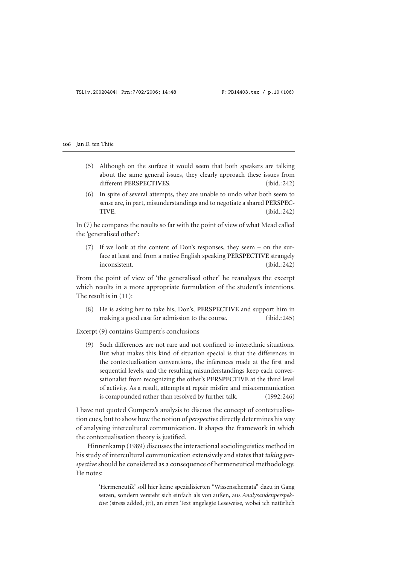- (5) Although on the surface it would seem that both speakers are talking about the same general issues, they clearly approach these issues from different **PERSPECTIVES**. (ibid.:242)
- (6) In spite of several attempts, they are unable to undo what both seem to sense are, in part, misunderstandings and to negotiate a shared **PERSPEC-TIVE**. (ibid.:242)

In (7) he compares the results so far with the point of view of what Mead called the 'generalised other':

(7) If we look at the content of Don's responses, they seem – on the surface at least and from a native English speaking **PERSPECTIVE** strangely inconsistent. (ibid.:242)

From the point of view of 'the generalised other' he reanalyses the excerpt which results in a more appropriate formulation of the student's intentions. The result is in (11):

(8) He is asking her to take his, Don's, **PERSPECTIVE** and support him in making a good case for admission to the course. (ibid.:245)

Excerpt (9) contains Gumperz's conclusions

(9) Such differences are not rare and not confined to interethnic situations. But what makes this kind of situation special is that the differences in the contextualisation conventions, the inferences made at the first and sequential levels, and the resulting misunderstandings keep each conversationalist from recognizing the other's **PERSPECTIVE** at the third level of activity. As a result, attempts at repair misfire and miscommunication is compounded rather than resolved by further talk. (1992:246)

I have not quoted Gumperz's analysis to discuss the concept of contextualisation cues, but to show how the notion of *perspective* directly determines his way of analysing intercultural communication. It shapes the framework in which the contextualisation theory is justified.

Hinnenkamp (1989) discusses the interactional sociolinguistics method in his study of intercultural communication extensively and states that *taking perspective* should be considered as a consequence of hermeneutical methodology. He notes:

> 'Hermeneutik' soll hier keine spezialisierten "Wissenschemata" dazu in Gang setzen, sondern versteht sich einfach als von außen, aus *Analysandenperspektive* (stress added, jtt), an einen Text angelegte Leseweise, wobei ich natürlich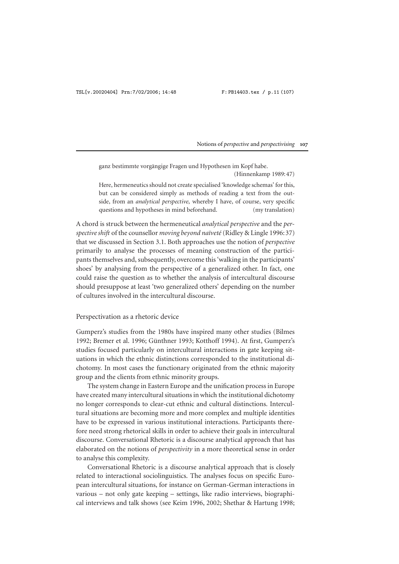ganz bestimmte vorgängige Fragen und Hypothesen im Kopf habe. (Hinnenkamp 1989:47)

Here, hermeneutics should not create specialised 'knowledge schemas' for this, but can be considered simply as methods of reading a text from the outside, from an *analytical perspective*, whereby I have, of course, very specific questions and hypotheses in mind beforehand. (my translation)

A chord is struck between the hermeneutical *analytical perspective* and the *perspective shift* of the counsellor *moving beyond naïveté*(Ridley & Lingle 1996: 37) that we discussed in Section 3.1. Both approaches use the notion of *perspective* primarily to analyse the processes of meaning construction of the participants themselves and, subsequently, overcome this 'walking in the participants' shoes' by analysing from the perspective of a generalized other. In fact, one could raise the question as to whether the analysis of intercultural discourse should presuppose at least 'two generalized others' depending on the number of cultures involved in the intercultural discourse.

# Perspectivation as a rhetoric device

Gumperz's studies from the 1980s have inspired many other studies (Bilmes 1992; Bremer et al. 1996; Günthner 1993; Kotthoff 1994). At first, Gumperz's studies focused particularly on intercultural interactions in gate keeping situations in which the ethnic distinctions corresponded to the institutional dichotomy. In most cases the functionary originated from the ethnic majority group and the clients from ethnic minority groups.

The system change in Eastern Europe and the unification process in Europe have created many intercultural situations in which the institutional dichotomy no longer corresponds to clear-cut ethnic and cultural distinctions. Intercultural situations are becoming more and more complex and multiple identities have to be expressed in various institutional interactions. Participants therefore need strong rhetorical skills in order to achieve their goals in intercultural discourse. Conversational Rhetoric is a discourse analytical approach that has elaborated on the notions of *perspectivity* in a more theoretical sense in order to analyse this complexity.

Conversational Rhetoric is a discourse analytical approach that is closely related to interactional sociolinguistics. The analyses focus on specific European intercultural situations, for instance on German-German interactions in various – not only gate keeping – settings, like radio interviews, biographical interviews and talk shows (see Keim 1996, 2002; Shethar & Hartung 1998;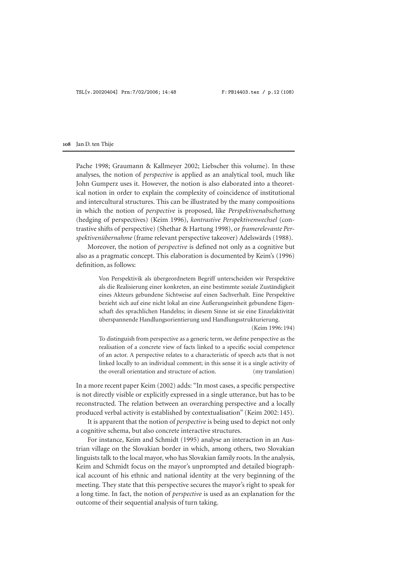Pache 1998; Graumann & Kallmeyer 2002; Liebscher this volume). In these analyses, the notion of *perspective* is applied as an analytical tool, much like John Gumperz uses it. However, the notion is also elaborated into a theoretical notion in order to explain the complexity of coincidence of institutional and intercultural structures. This can be illustrated by the many compositions in which the notion of *perspective* is proposed, like *Perspektivenabschottung* (hedging of perspectives) (Keim 1996), *kontrastive Perspektivenwechsel* (contrastive shifts of perspective) (Shethar & Hartung 1998), or *framerelevante Perspektivenübernahme* (frame relevant perspective takeover) Adelswärds (1988).

Moreover, the notion of *perspective* is defined not only as a cognitive but also as a pragmatic concept. This elaboration is documented by Keim's (1996) definition, as follows:

> Von Perspektivik als übergeordnetem Begriff unterscheiden wir Perspektive als die Realisierung einer konkreten, an eine bestimmte soziale Zuständigkeit eines Akteurs gebundene Sichtweise auf einen Sachverhalt. Eine Perspektive bezieht sich auf eine nicht lokal an eine Äußerungseinheit gebundene Eigenschaft des sprachlichen Handelns; in diesem Sinne ist sie eine Einzelaktivität überspannende Handlungsorientierung und Handlungsstrukturierung.

> > (Keim 1996:194)

To distinguish from perspective as a generic term, we define perspective as the realisation of a concrete view of facts linked to a specific social competence of an actor. A perspective relates to a characteristic of speech acts that is not linked locally to an individual comment; in this sense it is a single activity of the overall orientation and structure of action. (my translation)

In a more recent paper Keim (2002) adds: "In most cases, a specific perspective is not directly visible or explicitly expressed in a single utterance, but has to be reconstructed. The relation between an overarching perspective and a locally produced verbal activity is established by contextualisation" (Keim 2002:145).

It is apparent that the notion of *perspective* is being used to depict not only a cognitive schema, but also concrete interactive structures.

For instance, Keim and Schmidt (1995) analyse an interaction in an Austrian village on the Slovakian border in which, among others, two Slovakian linguists talk to the local mayor, who has Slovakian family roots. In the analysis, Keim and Schmidt focus on the mayor's unprompted and detailed biographical account of his ethnic and national identity at the very beginning of the meeting. They state that this perspective secures the mayor's right to speak for a long time. In fact, the notion of *perspective* is used as an explanation for the outcome of their sequential analysis of turn taking.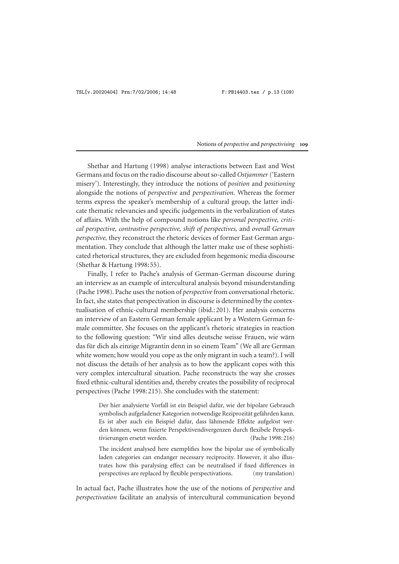Shethar and Hartung (1998) analyse interactions between East and West Germans and focus on the radio discourse about so-called *Ostjammer* ('Eastern misery'). Interestingly, they introduce the notions of *position* and *positioning* alongside the notions of *perspective* and *perspectivation*. Whereas the former terms express the speaker's membership of a cultural group, the latter indicate thematic relevancies and specific judgements in the verbalization of states of affairs. With the help of compound notions like *personal perspective, critical perspective, contrastive perspective, shift of perspectives,* and *overall German perspective,* they reconstruct the rhetoric devices of former East German argumentation. They conclude that although the latter make use of these sophisticated rhetorical structures, they are excluded from hegemonic media discourse (Shethar & Hartung 1998: 55).

Finally, I refer to Pache's analysis of German-German discourse during an interview as an example of intercultural analysis beyond misunderstanding (Pache 1998). Pache uses the notion of *perspective*from conversational rhetoric. In fact, she states that perspectivation in discourse is determined by the contextualisation of ethnic-cultural membership (ibid.: 201). Her analysis concerns an interview of an Eastern German female applicant by a Western German female committee. She focuses on the applicant's rhetoric strategies in reaction to the following question: "Wir sind alles deutsche weisse Frauen, wie wärn das für dich als einzige Migrantin denn in so einem Team" (We all are German white women; how would you cope as the only migrant in such a team?). I will not discuss the details of her analysis as to how the applicant copes with this very complex intercultural situation. Pache reconstructs the way she crosses fixed ethnic-cultural identities and, thereby creates the possibility of reciprocal perspectives (Pache 1998:215). She concludes with the statement:

> Der hier analysierte Vorfall ist ein Beispiel dafür, wie der bipolare Gebrauch symbolisch aufgeladener Kategorien notwendige Reziprozität gefährden kann. Es ist aber auch ein Beispiel dafür, dass lähmende Effekte aufgelöst werden können, wenn fixierte Perspektivendivergenzen durch flexibele Perspektivierungen ersetzt werden. (Pache 1998:216)

> The incident analysed here exemplifies how the bipolar use of symbolically laden categories can endanger necessary reciprocity. However, it also illustrates how this paralysing effect can be neutralised if fixed differences in perspectives are replaced by flexible perspectivations. (my translation)

In actual fact, Pache illustrates how the use of the notions of *perspective* and *perspectivation* facilitate an analysis of intercultural communication beyond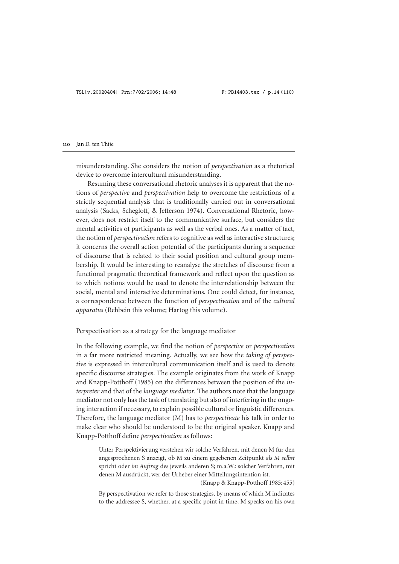misunderstanding. She considers the notion of *perspectivation* as a rhetorical device to overcome intercultural misunderstanding.

Resuming these conversational rhetoric analyses it is apparent that the notions of *perspective* and *perspectivation* help to overcome the restrictions of a strictly sequential analysis that is traditionally carried out in conversational analysis (Sacks, Schegloff, & Jefferson 1974). Conversational Rhetoric, however, does not restrict itself to the communicative surface, but considers the mental activities of participants as well as the verbal ones. As a matter of fact, the notion of *perspectivation* refers to cognitive as well as interactive structures; it concerns the overall action potential of the participants during a sequence of discourse that is related to their social position and cultural group membership. It would be interesting to reanalyse the stretches of discourse from a functional pragmatic theoretical framework and reflect upon the question as to which notions would be used to denote the interrelationship between the social, mental and interactive determinations. One could detect, for instance, a correspondence between the function of *perspectivation* and of the *cultural apparatus* (Rehbein this volume; Hartog this volume).

Perspectivation as a strategy for the language mediator

In the following example, we find the notion of *perspective* or *perspectivation* in a far more restricted meaning. Actually, we see how the *taking of perspective* is expressed in intercultural communication itself and is used to denote specific discourse strategies. The example originates from the work of Knapp and Knapp-Potthoff (1985) on the differences between the position of the *interpreter* and that of the *language mediator*. The authors note that the language mediator not only has the task of translating but also of interfering in the ongoing interaction if necessary, to explain possible cultural or linguistic differences. Therefore, the language mediator (M) has to *perspectivate* his talk in order to make clear who should be understood to be the original speaker. Knapp and Knapp-Potthoff define *perspectivation* as follows:

> Unter Perspektivierung verstehen wir solche Verfahren, mit denen M für den angesprochenen S anzeigt, ob M zu einem gegebenen Zeitpunkt *als M selbst* spricht oder *im Auftrag* des jeweils anderen S; m.a.W.: solcher Verfahren, mit denen M ausdrückt, wer der Urheber einer Mitteilungsintention ist.

> > (Knapp & Knapp-Potthoff 1985:455)

By perspectivation we refer to those strategies, by means of which M indicates to the addressee S, whether, at a specific point in time, M speaks on his own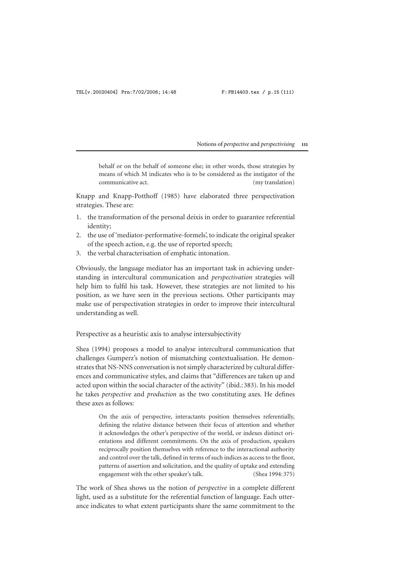behalf or on the behalf of someone else; in other words, those strategies by means of which M indicates who is to be considered as the instigator of the communicative act. (my translation)

Knapp and Knapp-Potthoff (1985) have elaborated three perspectivation strategies. These are:

- 1. the transformation of the personal deixis in order to guarantee referential identity;
- 2. the use of 'mediator-performative-formels', to indicate the original speaker of the speech action, e.g. the use of reported speech;
- 3. the verbal characterisation of emphatic intonation.

Obviously, the language mediator has an important task in achieving understanding in intercultural communication and *perspectivation* strategies will help him to fulfil his task. However, these strategies are not limited to his position, as we have seen in the previous sections. Other participants may make use of perspectivation strategies in order to improve their intercultural understanding as well.

Perspective as a heuristic axis to analyse intersubjectivity

Shea (1994) proposes a model to analyse intercultural communication that challenges Gumperz's notion of mismatching contextualisation. He demonstrates that NS-NNS conversation is not simply characterized by cultural differences and communicative styles, and claims that "differences are taken up and acted upon within the social character of the activity" (ibid.:383). In his model he takes *perspective* and *production* as the two constituting axes. He defines these axes as follows:

> On the axis of perspective, interactants position themselves referentially, defining the relative distance between their focus of attention and whether it acknowledges the other's perspective of the world, or indexes distinct orientations and different commitments. On the axis of production, speakers reciprocally position themselves with reference to the interactional authority and control over the talk, defined in terms of such indices as access to the floor, patterns of assertion and solicitation, and the quality of uptake and extending engagement with the other speaker's talk. (Shea 1994:375)

The work of Shea shows us the notion of *perspective* in a complete different light, used as a substitute for the referential function of language. Each utterance indicates to what extent participants share the same commitment to the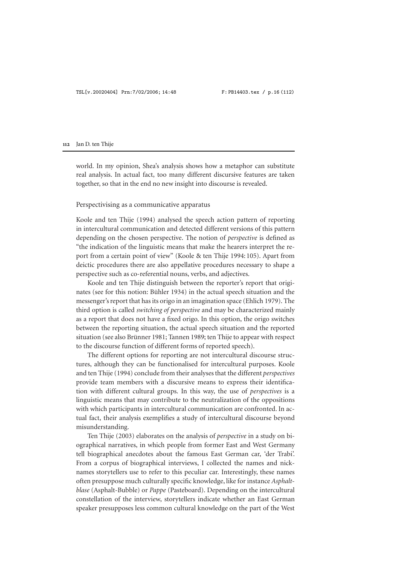world. In my opinion, Shea's analysis shows how a metaphor can substitute real analysis. In actual fact, too many different discursive features are taken together, so that in the end no new insight into discourse is revealed.

### Perspectivising as a communicative apparatus

Koole and ten Thije (1994) analysed the speech action pattern of reporting in intercultural communication and detected different versions of this pattern depending on the chosen perspective. The notion of *perspective* is defined as "the indication of the linguistic means that make the hearers interpret the report from a certain point of view" (Koole & ten Thije 1994:105). Apart from deictic procedures there are also appellative procedures necessary to shape a perspective such as co-referential nouns, verbs, and adjectives.

Koole and ten Thije distinguish between the reporter's report that originates (see for this notion: Bühler 1934) in the actual speech situation and the messenger's report that has its origo in an imagination space (Ehlich 1979). The third option is called *switching of perspective* and may be characterized mainly as a report that does not have a fixed origo. In this option, the origo switches between the reporting situation, the actual speech situation and the reported situation (see also Brünner 1981; Tannen 1989; ten Thije to appear with respect to the discourse function of different forms of reported speech).

The different options for reporting are not intercultural discourse structures, although they can be functionalised for intercultural purposes. Koole and ten Thije (1994) conclude from their analyses that the different *perspectives* provide team members with a discursive means to express their identification with different cultural groups. In this way, the use of *perspectives* is a linguistic means that may contribute to the neutralization of the oppositions with which participants in intercultural communication are confronted. In actual fact, their analysis exemplifies a study of intercultural discourse beyond misunderstanding.

Ten Thije (2003) elaborates on the analysis of *perspective* in a study on biographical narratives, in which people from former East and West Germany tell biographical anecdotes about the famous East German car, 'der Trabi'. From a corpus of biographical interviews, I collected the names and nicknames storytellers use to refer to this peculiar car. Interestingly, these names often presuppose much culturally specific knowledge, like for instance *Asphaltblase* (Asphalt-Bubble) or *Pappe* (Pasteboard). Depending on the intercultural constellation of the interview, storytellers indicate whether an East German speaker presupposes less common cultural knowledge on the part of the West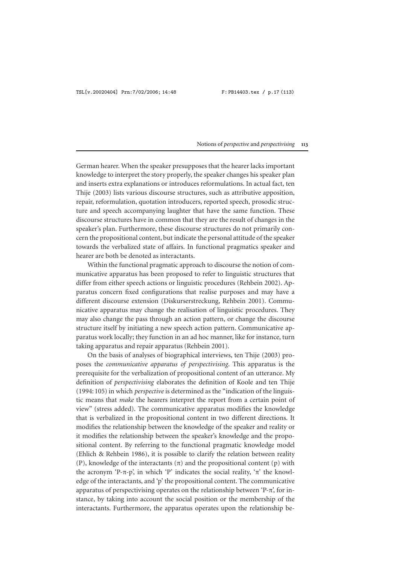German hearer. When the speaker presupposes that the hearer lacks important knowledge to interpret the story properly, the speaker changes his speaker plan and inserts extra explanations or introduces reformulations. In actual fact, ten Thije (2003) lists various discourse structures, such as attributive apposition, repair, reformulation, quotation introducers, reported speech, prosodic structure and speech accompanying laughter that have the same function. These discourse structures have in common that they are the result of changes in the speaker's plan. Furthermore, these discourse structures do not primarily concern the propositional content, but indicate the personal attitude of the speaker towards the verbalized state of affairs. In functional pragmatics speaker and hearer are both be denoted as interactants.

Within the functional pragmatic approach to discourse the notion of communicative apparatus has been proposed to refer to linguistic structures that differ from either speech actions or linguistic procedures (Rehbein 2002). Apparatus concern fixed configurations that realise purposes and may have a different discourse extension (Diskurserstreckung, Rehbein 2001). Communicative apparatus may change the realisation of linguistic procedures. They may also change the pass through an action pattern, or change the discourse structure itself by initiating a new speech action pattern. Communicative apparatus work locally; they function in an ad hoc manner, like for instance, turn taking apparatus and repair apparatus (Rehbein 2001).

On the basis of analyses of biographical interviews, ten Thije (2003) proposes the *communicative apparatus of perspectivising*. This apparatus is the prerequisite for the verbalization of propositional content of an utterance. My definition of *perspectivising* elaborates the definition of Koole and ten Thije (1994:105) in which *perspective* is determined as the "indication of the linguistic means that *make* the hearers interpret the report from a certain point of view" (stress added). The communicative apparatus modifies the knowledge that is verbalized in the propositional content in two different directions. It modifies the relationship between the knowledge of the speaker and reality or it modifies the relationship between the speaker's knowledge and the propositional content. By referring to the functional pragmatic knowledge model (Ehlich & Rehbein 1986), it is possible to clarify the relation between reality (P), knowledge of the interactants  $(\pi)$  and the propositional content (p) with the acronym 'P-π-p', in which 'P' indicates the social reality, 'π' the knowledge of the interactants, and 'p' the propositional content. The communicative apparatus of perspectivising operates on the relationship between 'P-π', for instance, by taking into account the social position or the membership of the interactants. Furthermore, the apparatus operates upon the relationship be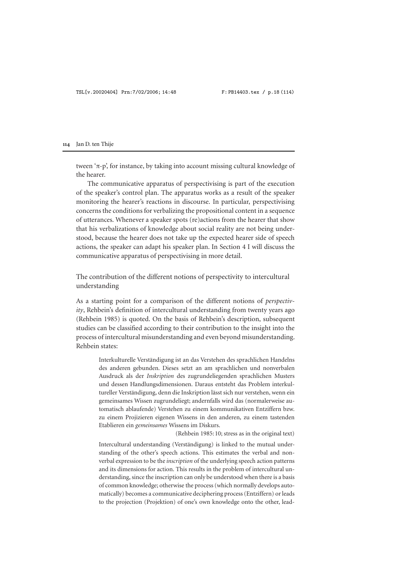tween 'π-p', for instance, by taking into account missing cultural knowledge of the hearer.

The communicative apparatus of perspectivising is part of the execution of the speaker's control plan. The apparatus works as a result of the speaker monitoring the hearer's reactions in discourse. In particular, perspectivising concerns the conditions for verbalizing the propositional content in a sequence of utterances. Whenever a speaker spots (re)actions from the hearer that show that his verbalizations of knowledge about social reality are not being understood, because the hearer does not take up the expected hearer side of speech actions, the speaker can adapt his speaker plan. In Section 4 I will discuss the communicative apparatus of perspectivising in more detail.

The contribution of the different notions of perspectivity to intercultural understanding

As a starting point for a comparison of the different notions of *perspectivity*, Rehbein's definition of intercultural understanding from twenty years ago (Rehbein 1985) is quoted. On the basis of Rehbein's description, subsequent studies can be classified according to their contribution to the insight into the process of intercultural misunderstanding and even beyond misunderstanding. Rehbein states:

> Interkulturelle Verständigung ist an das Verstehen des sprachlichen Handelns des anderen gebunden. Dieses setzt an am sprachlichen und nonverbalen Ausdruck als der *Inskription* des zugrundeliegenden sprachlichen Musters und dessen Handlungsdimensionen. Daraus entsteht das Problem interkultureller Verständigung, denn die Inskription lässt sich nur verstehen, wenn ein gemeinsames Wissen zugrundeliegt; andernfalls wird das (normalerweise automatisch ablaufende) Verstehen zu einem kommunikativen Entziffern bzw. zu einem Projizieren eigenen Wissens in den anderen, zu einem tastenden Etablieren ein *gemeinsames* Wissens im Diskurs.

> > (Rehbein 1985:10; stress as in the original text)

Intercultural understanding (Verständigung) is linked to the mutual understanding of the other's speech actions. This estimates the verbal and nonverbal expression to be the *inscription* of the underlying speech action patterns and its dimensions for action. This results in the problem of intercultural understanding, since the inscription can only be understood when there is a basis of common knowledge; otherwise the process (which normally develops automatically) becomes a communicative deciphering process (Entziffern) or leads to the projection (Projektion) of one's own knowledge onto the other, lead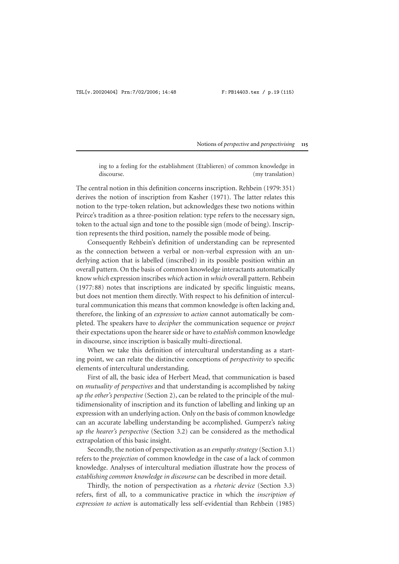ing to a feeling for the establishment (Etablieren) of common knowledge in discourse. (my translation)

The central notion in this definition concerns inscription. Rehbein (1979:351) derives the notion of inscription from Kasher (1971). The latter relates this notion to the type-token relation, but acknowledges these two notions within Peirce's tradition as a three-position relation: type refers to the necessary sign, token to the actual sign and tone to the possible sign (mode of being). Inscription represents the third position, namely the possible mode of being.

Consequently Rehbein's definition of understanding can be represented as the connection between a verbal or non-verbal expression with an underlying action that is labelled (inscribed) in its possible position within an overall pattern. On the basis of common knowledge interactants automatically know*which* expression inscribes *which* action in *which* overall pattern. Rehbein (1977:88) notes that inscriptions are indicated by specific linguistic means, but does not mention them directly. With respect to his definition of intercultural communication this means that common knowledge is often lacking and, therefore, the linking of an *expression* to *action* cannot automatically be completed. The speakers have to *decipher* the communication sequence or *project* their expectations upon the hearer side or have to *establish* common knowledge in discourse, since inscription is basically multi-directional.

When we take this definition of intercultural understanding as a starting point, we can relate the distinctive conceptions of *perspectivity* to specific elements of intercultural understanding.

First of all, the basic idea of Herbert Mead, that communication is based on *mutuality of perspectives* and that understanding is accomplished by *taking up the other's perspective* (Section 2), can be related to the principle of the multidimensionality of inscription and its function of labelling and linking up an expression with an underlying action. Only on the basis of common knowledge can an accurate labelling understanding be accomplished. Gumperz's *taking up the hearer's perspective* (Section 3.2) can be considered as the methodical extrapolation of this basic insight.

Secondly, the notion of perspectivation as an *empathy strategy* (Section 3.1) refers to the *projection* of common knowledge in the case of a lack of common knowledge. Analyses of intercultural mediation illustrate how the process of *establishing common knowledge in discourse* can be described in more detail.

Thirdly, the notion of perspectivation as a *rhetoric device* (Section 3.3) refers, first of all, to a communicative practice in which the *inscription of expression to action* is automatically less self-evidential than Rehbein (1985)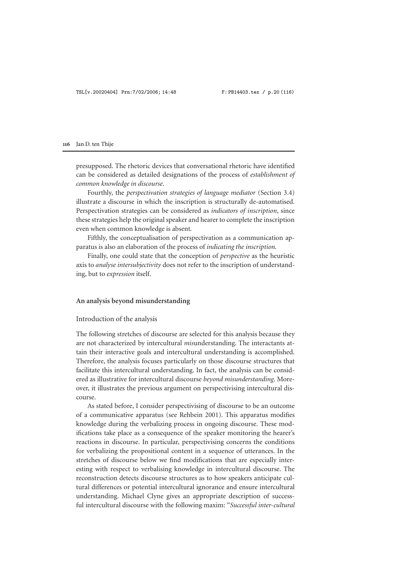presupposed. The rhetoric devices that conversational rhetoric have identified can be considered as detailed designations of the process of *establishment of common knowledge in discourse*.

Fourthly, the *perspectivation strategies of language mediator* (Section 3.4) illustrate a discourse in which the inscription is structurally de-automatised. Perspectivation strategies can be considered as *indicators of inscription*, since these strategies help the original speaker and hearer to complete the inscription even when common knowledge is absent*.*

Fifthly, the conceptualisation of perspectivation as a communication apparatus is also an elaboration of the process of *indicating the inscription.*

Finally, one could state that the conception of *perspective* as the heuristic axis to *analyse intersubjectivity* does not refer to the inscription of understanding, but to *expression* itself.

### **An analysis beyond misunderstanding**

### Introduction of the analysis

The following stretches of discourse are selected for this analysis because they are not characterized by intercultural *mis*understanding. The interactants attain their interactive goals and intercultural understanding is accomplished. Therefore, the analysis focuses particularly on those discourse structures that facilitate this intercultural understanding. In fact, the analysis can be considered as illustrative for intercultural discourse *beyond misunderstanding*. Moreover, it illustrates the previous argument on perspectivising intercultural discourse.

As stated before, I consider perspectivising of discourse to be an outcome of a communicative apparatus (see Rehbein 2001). This apparatus modifies knowledge during the verbalizing process in ongoing discourse. These modifications take place as a consequence of the speaker monitoring the hearer's reactions in discourse. In particular, perspectivising concerns the conditions for verbalizing the propositional content in a sequence of utterances. In the stretches of discourse below we find modifications that are especially interesting with respect to verbalising knowledge in intercultural discourse. The reconstruction detects discourse structures as to how speakers anticipate cultural differences or potential intercultural ignorance and ensure intercultural understanding. Michael Clyne gives an appropriate description of successful intercultural discourse with the following maxim: "*Successful inter-cultural*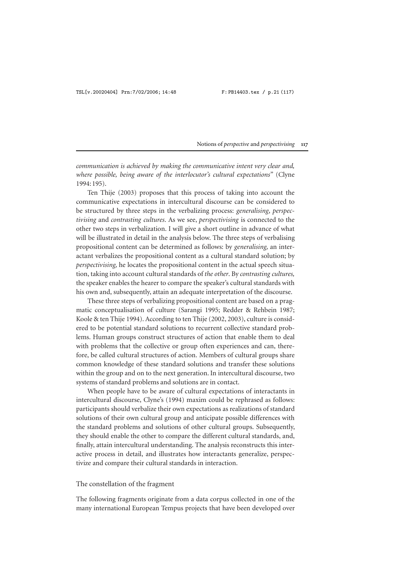*communication is achieved by making the communicative intent very clear and, where possible, being aware of the interlocutor's cultural expectations"* (Clyne 1994:195).

Ten Thije (2003) proposes that this process of taking into account the communicative expectations in intercultural discourse can be considered to be structured by three steps in the verbalizing process: *generalising*, *perspectivising* and *contrasting cultures*. As we see, *perspectivising* is connected to the other two steps in verbalization. I will give a short outline in advance of what will be illustrated in detail in the analysis below. The three steps of verbalising propositional content can be determined as follows: by *generalising,* an interactant verbalizes the propositional content as a cultural standard solution; by *perspectivising,* he locates the propositional content in the actual speech situation, taking into account cultural standards of *the other*. By *contrasting cultures,* the speaker enables the hearer to compare the speaker's cultural standards with his own and, subsequently, attain an adequate interpretation of the discourse.

These three steps of verbalizing propositional content are based on a pragmatic conceptualisation of culture (Sarangi 1995; Redder & Rehbein 1987; Koole & ten Thije 1994). According to ten Thije (2002, 2003), culture is considered to be potential standard solutions to recurrent collective standard problems. Human groups construct structures of action that enable them to deal with problems that the collective or group often experiences and can, therefore, be called cultural structures of action. Members of cultural groups share common knowledge of these standard solutions and transfer these solutions within the group and on to the next generation. In intercultural discourse, two systems of standard problems and solutions are in contact.

When people have to be aware of cultural expectations of interactants in intercultural discourse, Clyne's (1994) maxim could be rephrased as follows: participants should verbalize their own expectations as realizations of standard solutions of their own cultural group and anticipate possible differences with the standard problems and solutions of other cultural groups. Subsequently, they should enable the other to compare the different cultural standards, and, finally, attain intercultural understanding. The analysis reconstructs this interactive process in detail, and illustrates how interactants generalize, perspectivize and compare their cultural standards in interaction.

The constellation of the fragment

The following fragments originate from a data corpus collected in one of the many international European Tempus projects that have been developed over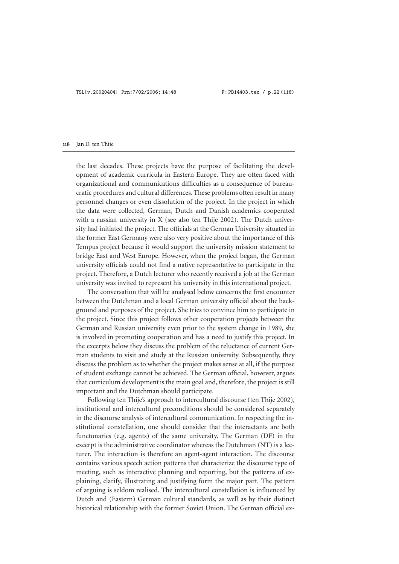the last decades. These projects have the purpose of facilitating the development of academic curricula in Eastern Europe. They are often faced with organizational and communications difficulties as a consequence of bureaucratic procedures and cultural differences. These problems often result in many personnel changes or even dissolution of the project. In the project in which the data were collected, German, Dutch and Danish academics cooperated with a russian university in X (see also ten Thije 2002). The Dutch university had initiated the project. The officials at the German University situated in the former East Germany were also very positive about the importance of this Tempus project because it would support the university mission statement to bridge East and West Europe. However, when the project began, the German university officials could not find a native representative to participate in the project. Therefore, a Dutch lecturer who recently received a job at the German university was invited to represent his university in this international project.

The conversation that will be analysed below concerns the first encounter between the Dutchman and a local German university official about the background and purposes of the project. She tries to convince him to participate in the project. Since this project follows other cooperation projects between the German and Russian university even prior to the system change in 1989, she is involved in promoting cooperation and has a need to justify this project. In the excerpts below they discuss the problem of the reluctance of current German students to visit and study at the Russian university. Subsequently, they discuss the problem as to whether the project makes sense at all, if the purpose of student exchange cannot be achieved. The German official, however, argues that curriculum development is the main goal and, therefore, the project is still important and the Dutchman should participate.

Following ten Thije's approach to intercultural discourse (ten Thije 2002), institutional and intercultural preconditions should be considered separately in the discourse analysis of intercultural communication. In respecting the institutional constellation, one should consider that the interactants are both functonaries (e.g. agents) of the same university. The German (DF) in the excerpt is the administrative coordinator whereas the Dutchman (NT) is a lecturer. The interaction is therefore an agent-agent interaction. The discourse contains various speech action patterns that characterize the discourse type of meeting, such as interactive planning and reporting, but the patterns of explaining, clarify, illustrating and justifying form the major part. The pattern of arguing is seldom realised. The intercultural constellation is influenced by Dutch and (Eastern) German cultural standards, as well as by their distinct historical relationship with the former Soviet Union. The German official ex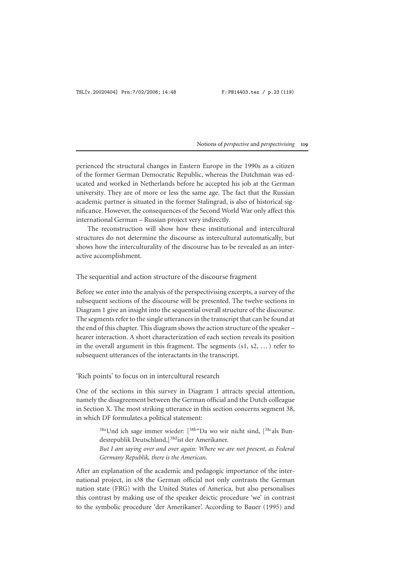perienced the structural changes in Eastern Europe in the 1990s as a citizen of the former German Democratic Republic, whereas the Dutchman was educated and worked in Netherlands before he accepted his job at the German university. They are of more or less the same age. The fact that the Russian academic partner is situated in the former Stalingrad, is also of historical significance. However, the consequences of the Second World War only affect this international German – Russian project very indirectly.

The reconstruction will show how these institutional and intercultural structures do not determine the discourse as intercultural automatically, but shows how the interculturality of the discourse has to be revealed as an interactive accomplishment.

The sequential and action structure of the discourse fragment

Before we enter into the analysis of the perspectivising excerpts, a survey of the subsequent sections of the discourse will be presented. The twelve sections in Diagram 1 give an insight into the sequential overall structure of the discourse. The segments refer to the single utterances in the transcript that can be found at the end of this chapter. This diagram shows the action structure of the speaker – hearer interaction. A short characterization of each section reveals its position in the overall argument in this fragment. The segments  $(s_1, s_2, \ldots)$  refer to subsequent utterances of the interactants in the transcript.

'Rich points' to focus on in intercultural research

One of the sections in this survey in Diagram 1 attracts special attention, namely the disagreement between the German official and the Dutch colleague in Section X. The most striking utterance in this section concerns segment 38, in which DF formulates a political statement:

> $38a$ Und ich sage immer wieder:  $38b^{\circ}$ Da wo wir nicht sind,  $38c$ als Bundesrepublik Deutschland,[38dist der Amerikaner. *But I am saying over and over again: Where we are not present, as Federal Germany Republik, there is the American.*

After an explanation of the academic and pedagogic importance of the international project, in s38 the German official not only contrasts the German nation state (FRG) with the United States of America, but also personalises this contrast by making use of the speaker deictic procedure 'we' in contrast to the symbolic procedure 'der Amerikaner'. According to Bauer (1995) and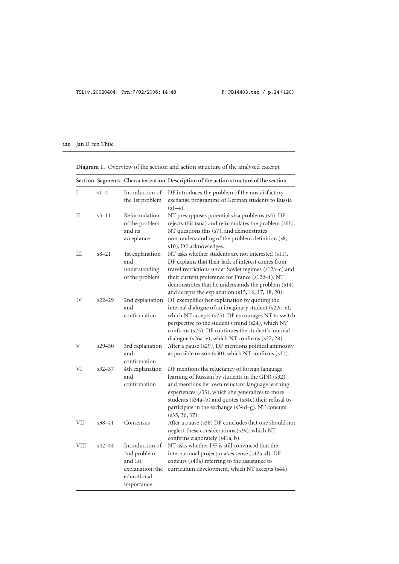|             |            |                                                                                            | Section Segments Characterization Description of the action structure of the section                                                                                                                                                                                                                                                     |
|-------------|------------|--------------------------------------------------------------------------------------------|------------------------------------------------------------------------------------------------------------------------------------------------------------------------------------------------------------------------------------------------------------------------------------------------------------------------------------------|
| L           | $s1-4$     | Introduction of<br>the 1st problem                                                         | DF introduces the problem of the unsatisfactory<br>exchange programme of German students to Russia<br>$(s1-4)$ .                                                                                                                                                                                                                         |
| $_{\rm II}$ | $s5 - 11$  | Reformulation<br>of the problem<br>and its<br>acceptance                                   | NT presupposes potential visa problems (s5). DF<br>rejects this (s6a) and reformulates the problem (s6b).<br>NT questions this (s7), and demonstrates<br>non-understanding of the problem definition (s8,<br>s10), DF acknowledges.                                                                                                      |
| Ш           | $s8 - 21$  | 1st explanation<br>and<br>understanding<br>of the problem                                  | NT asks whether students are not interested (s11).<br>DF explains that their lack of interest comes from<br>travel restrictions under Soviet regimes (s12a-c) and<br>their current preference for France (s12d-f). NT<br>demonstrates that he understands the problem (s14)<br>and accepts the explanation (s15, 16, 17, 18, 20).        |
| IV          | $s22 - 29$ | 2nd explanation<br>and<br>confirmation                                                     | DF exemplifies her explanation by quoting the<br>internal dialogue of an imaginary student (s22a-e),<br>which NT accepts (s23). DF encourages NT to switch<br>perspective to the student's mind (s24), which NT<br>confirms (s25). DF continues the student's internal<br>dialogue (s26a-e), which NT confirms (s27, 28).                |
| V           | $s29 - 30$ | 3rd explanation<br>and<br>confirmation                                                     | After a pause (s29), DF mentions political animosity<br>as possible reason (s30), which NT confirms (s31).                                                                                                                                                                                                                               |
| VI          | $s32 - 37$ | 4th explanation<br>and<br>confirmation                                                     | DF mentions the reluctancy of foreign language<br>learning of Russian by students in the GDR (s32)<br>and mentions her own reluctant language learning<br>experiences (s33), which she generalizes to more<br>students (s34a-b) and quotes (s34c) their refusal to<br>participate in the exchange (s34d-g). NT concurs<br>(s35, 36, 37). |
| VII         | $s38 - 41$ | Consensus                                                                                  | After a pause (s38) DF concludes that one should not<br>neglect these considerations (s39), which NT<br>confirms elaborately (s41a, b).                                                                                                                                                                                                  |
| <b>VIII</b> | $s42 - 44$ | Introduction of<br>2nd problem<br>and 1st<br>explanation: the<br>educational<br>importance | NT asks whether DF is still convinced that the<br>international project makes sense (s42a-d). DF<br>concurs (s43a) referring to the assistance to<br>curriculum development, which NT accepts (s44).                                                                                                                                     |

**Diagram 1.** Overview of the section and action structure of the analysed excerpt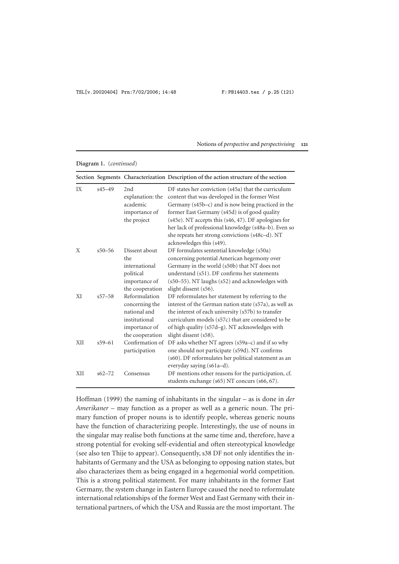|            |            |                                                                                                      | Section Segments Characterization Description of the action structure of the section                                                                                                                                                                                                                                                                                                                       |
|------------|------------|------------------------------------------------------------------------------------------------------|------------------------------------------------------------------------------------------------------------------------------------------------------------------------------------------------------------------------------------------------------------------------------------------------------------------------------------------------------------------------------------------------------------|
| IX         | $s45 - 49$ | 2 <sub>nd</sub><br>explanation: the<br>academic<br>importance of<br>the project                      | DF states her conviction (s45a) that the curriculum<br>content that was developed in the former West<br>Germany (s45b-c) and is now being practiced in the<br>former East Germany (s45d) is of good quality<br>(s45e). NT accepts this (s46, 47). DF apologises for<br>her lack of professional knowledge (s48a-b). Even so<br>she repeats her strong convictions (s48c-d). NT<br>acknowledges this (s49). |
| X          | $s50 - 56$ | Dissent about<br>the<br>international<br>political<br>importance of<br>the cooperation               | DF formulates sentential knowledge (s50a)<br>concerning potential American hegemony over<br>Germany in the world (s50b) that NT does not<br>understand (s51). DF confirms her statements<br>(s50-55). NT laughs (s52) and acknowledges with<br>slight dissent (s56).                                                                                                                                       |
| XI         | $s57 - 58$ | Reformulation<br>concerning the<br>national and<br>institutional<br>importance of<br>the cooperation | DF reformulates her statement by referring to the<br>interest of the German nation state (s57a), as well as<br>the interest of each university (s57b) to transfer<br>curriculum models (s57c) that are considered to be<br>of high quality (s57d-g). NT acknowledges with<br>slight dissent (s58).                                                                                                         |
| <b>XII</b> | $s59 - 61$ | Confirmation of<br>participation                                                                     | DF asks whether NT agrees (s59a-c) and if so why<br>one should not participate (s59d). NT confirms<br>(s60). DF reformulates her political statement as an<br>everyday saying (s61a-d).                                                                                                                                                                                                                    |
| XII        | $s62 - 72$ | Consensus                                                                                            | DF mentions other reasons for the participation, cf.<br>students exchange (s65) NT concurs (s66, 67).                                                                                                                                                                                                                                                                                                      |

**Diagram 1.** (*continued*)

Hoffman (1999) the naming of inhabitants in the singular – as is done in *der Amerikaner* – may function as a proper as well as a generic noun. The primary function of proper nouns is to identify people, whereas generic nouns have the function of characterizing people. Interestingly, the use of nouns in the singular may realise both functions at the same time and, therefore, have a strong potential for evoking self-evidential and often stereotypical knowledge (see also ten Thije to appear). Consequently, s38 DF not only identifies the inhabitants of Germany and the USA as belonging to opposing nation states, but also characterizes them as being engaged in a hegemonial world competition. This is a strong political statement. For many inhabitants in the former East Germany, the system change in Eastern Europe caused the need to reformulate international relationships of the former West and East Germany with their international partners, of which the USA and Russia are the most important. The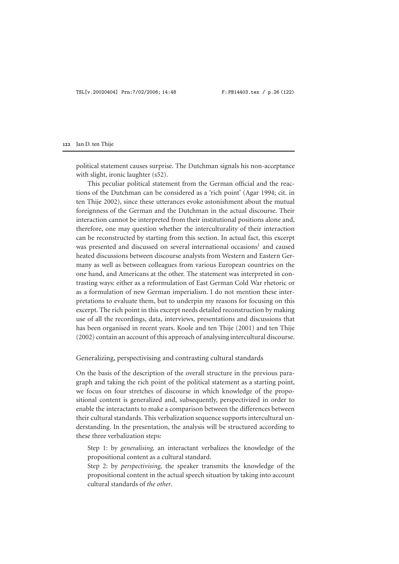political statement causes surprise. The Dutchman signals his non-acceptance with slight, ironic laughter (s52).

This peculiar political statement from the German official and the reactions of the Dutchman can be considered as a 'rich point' (Agar 1994; cit. in ten Thije 2002), since these utterances evoke astonishment about the mutual foreignness of the German and the Dutchman in the actual discourse. Their interaction cannot be interpreted from their institutional positions alone and, therefore, one may question whether the interculturality of their interaction can be reconstructed by starting from this section. In actual fact, this excerpt was presented and discussed on several international occasions<sup>1</sup> and caused heated discussions between discourse analysts from Western and Eastern Germany as well as between colleagues from various European countries on the one hand, and Americans at the other. The statement was interpreted in contrasting ways: either as a reformulation of East German Cold War rhetoric or as a formulation of new German imperialism. I do not mention these interpretations to evaluate them, but to underpin my reasons for focusing on this excerpt. The rich point in this excerpt needs detailed reconstruction by making use of all the recordings, data, interviews, presentations and discussions that has been organised in recent years. Koole and ten Thije (2001) and ten Thije (2002) contain an account of this approach of analysing intercultural discourse.

# Generalizing, perspectivising and contrasting cultural standards

On the basis of the description of the overall structure in the previous paragraph and taking the rich point of the political statement as a starting point, we focus on four stretches of discourse in which knowledge of the propositional content is generalized and, subsequently, perspectivized in order to enable the interactants to make a comparison between the differences between their cultural standards. This verbalization sequence supports intercultural understanding. In the presentation, the analysis will be structured according to these three verbalization steps:

Step 1: by *generalising,* an interactant verbalizes the knowledge of the propositional content as a cultural standard.

Step 2: by *perspectivising,* the speaker transmits the knowledge of the propositional content in the actual speech situation by taking into account cultural standards of *the other*.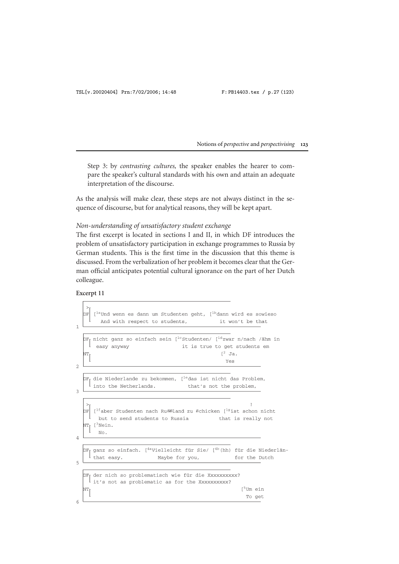Step 3: by *contrasting cultures,* the speaker enables the hearer to compare the speaker's cultural standards with his own and attain an adequate interpretation of the discourse.

As the analysis will make clear, these steps are not always distinct in the sequence of discourse, but for analytical reasons, they will be kept apart.

### *Non-understanding of unsatisfactory student exchange*

The first excerpt is located in sections I and II, in which DF introduces the problem of unsatisfactory participation in exchange programmes to Russia by German students. This is the first time in the discussion that this theme is discussed. From the verbalization of her problem it becomes clear that the German official anticipates potential cultural ignorance on the part of her Dutch colleague.

**Excerpt 11**

 $\overline{1}$ 

 $\overline{2}$ 

 $\overline{z}$ 

 $\Delta$ 

 $\sqrt{2}$ 

```
[<sup>1a</sup>Und wenn es dann um Studenten geht, [<sup>1b</sup>dann wird es sowieso
   hғ
          And with respect to students,
                                                            it won't be that
   .<br>DF, nicht ganz so einfach sein [<sup>1c</sup>Studenten/ [<sup>1d</sup>zwar n/nach /ähm in
                                            it is true to get students em
        easy anyway
                                                             [<sup>2</sup> Ja.
   VТ
                                                              Yes
  DF, die Niederlande zu bekommen, [<sup>1e</sup>das ist nicht das Problem,
     into the Netherlands.
                                               that's not the problem,
                                                                         \mathbf 1[<sup>1f</sup>aber Studenten nach Russland zu schicken [<sup>1g</sup>ist schon nicht
         but to send students to Russia
                                                 that is really not
   NT<sub>r</sub> [<sup>3</sup>Nein.
         No.
   DF<sub>r</sub> ganz so einfach. [<sup>4a</sup>Vielleicht für Sie/ [<sup>4b</sup>(hh) für die Niederlän-
     that easy.
                                                                  for the Dutch
                                Maybe for you,
   DF<sub>I</sub> der nich so problematisch wie für die Xxxxxxxxxx?
     lit's not as problematic as for the Xxxxxxxxxx?
   VТ
                                                                     [5Um ein
                                                                      To get
\kappa
```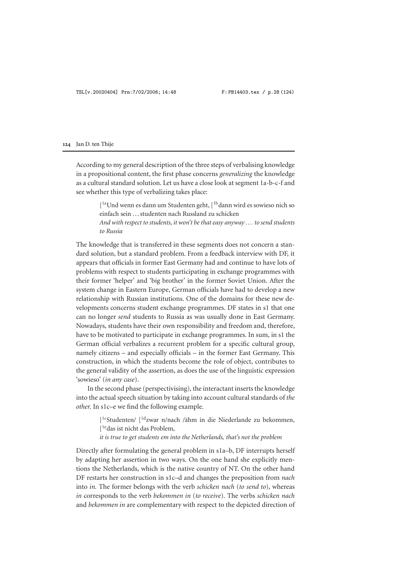According to my general description of the three steps of verbalising knowledge in a propositional content, the first phase concerns *generalizing* the knowledge as a cultural standard solution. Let us have a close look at segment 1a-b-c-f and see whether this type of verbalizing takes place:

> [1aUnd wenn es dann um Studenten geht, [1bdann wird es sowieso nich so einfach sein . . . studenten nach Russland zu schicken

> *And with respect to students, it won't be that easy anyway . . . to send students to Russia*

The knowledge that is transferred in these segments does not concern a standard solution, but a standard problem. From a feedback interview with DF, it appears that officials in former East Germany had and continue to have lots of problems with respect to students participating in exchange programmes with their former 'helper' and 'big brother' in the former Soviet Union. After the system change in Eastern Europe, German officials have had to develop a new relationship with Russian institutions. One of the domains for these new developments concerns student exchange programmes. DF states in s1 that one can no longer *send* students to Russia as was usually done in East Germany. Nowadays, students have their own responsibility and freedom and, therefore, have to be motivated to participate in exchange programmes. In sum, in s1 the German official verbalizes a recurrent problem for a specific cultural group, namely citizens – and especially officials – in the former East Germany. This construction, in which the students become the role of object, contributes to the general validity of the assertion, as does the use of the linguistic expression 'sowieso' (*in any case*).

In the second phase (perspectivising), the interactant inserts the knowledge into the actual speech situation by taking into account cultural standards of *the other.* In s1c–e we find the following example.

> [<sup>1c</sup>Studenten/ [<sup>1d</sup>zwar n/nach /ähm in die Niederlande zu bekommen, [1edas ist nicht das Problem,

*it is true to get students em into the Netherlands, that's not the problem*

Directly after formulating the general problem in s1a–b, DF interrupts herself by adapting her assertion in two ways. On the one hand she explicitly mentions the Netherlands, which is the native country of NT. On the other hand DF restarts her construction in s1c–d and changes the preposition from *nach* into *in.* The former belongs with the verb *schicken nach* (*to send to*), whereas *in* corresponds to the verb *bekommen in* (*to receive*). The verbs *schicken nach* and *bekommen in* are complementary with respect to the depicted direction of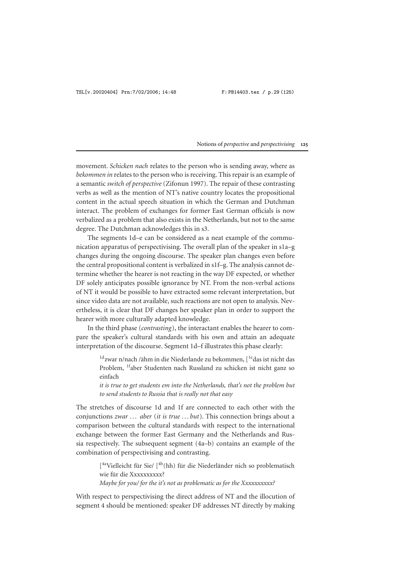movement. *Schicken nach* relates to the person who is sending away, where as *bekommen in* relates to the person who is receiving. This repair is an example of a semantic *switch of perspective* (Zifonun 1997). The repair of these contrasting verbs as well as the mention of NT's native country locates the propositional content in the actual speech situation in which the German and Dutchman interact. The problem of exchanges for former East German officials is now verbalized as a problem that also exists in the Netherlands, but not to the same degree. The Dutchman acknowledges this in s3.

The segments 1d–e can be considered as a neat example of the communication apparatus of perspectivising. The overall plan of the speaker in s1a–g changes during the ongoing discourse. The speaker plan changes even before the central propositional content is verbalized in s1f–g. The analysis cannot determine whether the hearer is not reacting in the way DF expected, or whether DF solely anticipates possible ignorance by NT. From the non-verbal actions of NT it would be possible to have extracted some relevant interpretation, but since video data are not available, such reactions are not open to analysis. Nevertheless, it is clear that DF changes her speaker plan in order to support the hearer with more culturally adapted knowledge.

In the third phase (*contrasting*), the interactant enables the hearer to compare the speaker's cultural standards with his own and attain an adequate interpretation of the discourse. Segment 1d–f illustrates this phase clearly:

> <sup>1d</sup>zwar n/nach /ähm in die Niederlande zu bekommen, [<sup>1e</sup>das ist nicht das Problem, 1faber Studenten nach Russland zu schicken ist nicht ganz so einfach

> *it is true to get students em into the Netherlands, that's not the problem but to send students to Russia that is really not that easy*

The stretches of discourse 1d and 1f are connected to each other with the conjunctions *zwar . . . aber* (*it is true . . . but*). This connection brings about a comparison between the cultural standards with respect to the international exchange between the former East Germany and the Netherlands and Russia respectively. The subsequent segment (4a–b) contains an example of the combination of perspectivising and contrasting.

> <sup>[4a</sup>Vielleicht für Sie/ <sup>[4b</sup>(hh) für die Niederländer nich so problematisch wie für die Xxxxxxxxxx? *Maybe for you/ for the it's not as problematic as for the Xxxxxxxxxx?*

With respect to perspectivising the direct address of NT and the illocution of segment 4 should be mentioned: speaker DF addresses NT directly by making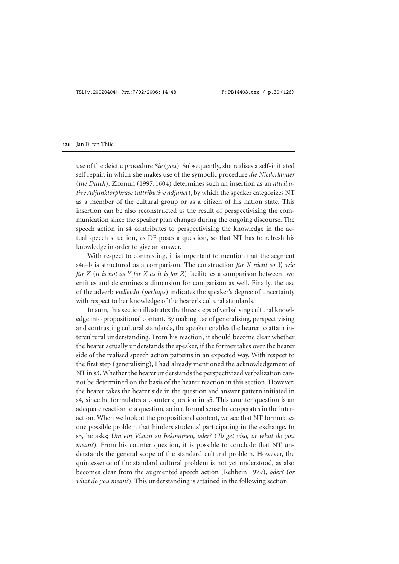use of the deictic procedure *Sie* (*you*). Subsequently, she realises a self-initiated self repair, in which she makes use of the symbolic procedure *die Niederländer* (*the Dutch*). Zifonun (1997: 1604) determines such an insertion as an *attributive Adjunktorphrase* (*attributive adjunct*), by which the speaker categorizes NT as a member of the cultural group or as a citizen of his nation state. This insertion can be also reconstructed as the result of perspectivising the communication since the speaker plan changes during the ongoing discourse. The speech action in s4 contributes to perspectivising the knowledge in the actual speech situation, as DF poses a question, so that NT has to refresh his knowledge in order to give an answer.

With respect to contrasting, it is important to mention that the segment s4a–b is structured as a comparison. The construction *für X nicht so Y, wie für Z* (*it is not as Y for X as it is for Z*) facilitates a comparison between two entities and determines a dimension for comparison as well. Finally, the use of the adverb *vielleicht* (*perhaps*) indicates the speaker's degree of uncertainty with respect to her knowledge of the hearer's cultural standards.

In sum, this section illustrates the three steps of verbalising cultural knowledge into propositional content. By making use of generalising, perspectivising and contrasting cultural standards, the speaker enables the hearer to attain intercultural understanding. From his reaction, it should become clear whether the hearer actually understands the speaker, if the former takes over the hearer side of the realised speech action patterns in an expected way. With respect to the first step (generalising), I had already mentioned the acknowledgement of NT in s3. Whether the hearer understands the perspectivized verbalization cannot be determined on the basis of the hearer reaction in this section. However, the hearer takes the hearer side in the question and answer pattern initiated in s4, since he formulates a counter question in s5. This counter question is an adequate reaction to a question, so in a formal sense he cooperates in the interaction. When we look at the propositional content, we see that NT formulates one possible problem that hinders students' participating in the exchange. In s5, he asks; *Um ein Visum zu bekommen, oder?* (*To get visa, or what do you mean?*). From his counter question, it is possible to conclude that NT understands the general scope of the standard cultural problem. However, the quintessence of the standard cultural problem is not yet understood, as also becomes clear from the augmented speech action (Rehbein 1979), *oder?* (*or what do you mean?*). This understanding is attained in the following section.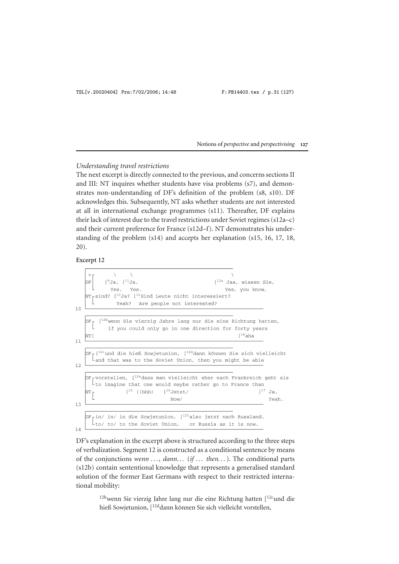$1^7$ 

Ja.

Yeah.

# *Understanding travel restrictions*

The next excerpt is directly connected to the previous, and concerns sections II and III: NT inquires whether students have visa problems (s7), and demonstrates non-understanding of DF's definition of the problem (s8, s10). DF acknowledges this. Subsequently, NT asks whether students are not interested at all in international exchange programmes (s11). Thereafter, DF explains their lack of interest due to the travel restrictions under Soviet regimes (s12a–c) and their current preference for France (s12d–f). NT demonstrates his understanding of the problem (s14) and accepts her explanation (s15, 16, 17, 18, 20).

# **Excerpt 12**

hr

be -**L** 

NT [  $11$ 

NΤ

 $\lambda$ 

 $\setminus$ 

 $10$ 

 $[{}^{9}$ Ja.  $[{}^{11}$ Ja.  $[$ 12a Jaa, wissen Sie, Yes. Yes. Yes, you know,  $\texttt{NT}$ -sind? [ $^{10}$ Ja? [ $^{12}$ Sind Leute nicht interessiert? Yeah? Are people not interested?  $[12b$  wenn Sie vierzig Jahre lang nur die eine Richtung hatten, if you could only go in one direction for forty years  $\int$ <sup>14</sup> aha DF<sub>r</sub>[<sup>12c</sup>und die hieß Sowjetunion, [<sup>12d</sup>dann können Sie sich vielleicht Land that was to the Soviet Union, then you might be able DF<sub>r</sub>vorstellen, [<sup>12e</sup>dass man vielleicht eher nach Frankreich geht als  $L$  to imagine that one would maybe rather go to France than  $[15$  ((hhh)  $[$ <sup>16</sup>Jetzt/ Now/

 $13$ 

 $14$ 

 $12$ 

 $\texttt{DF}_{\texttt{F}}$ in/ in die Sowjetunion, [ $^{12f}$ also jetzt nach Russland. Lto/ to/ to the Soviet Union, or Russia as it is now.

DF's explanation in the excerpt above is structured according to the three steps of verbalization. Segment 12 is constructed as a conditional sentence by means of the conjunctions *wenn . . . , dann. . .* (*if . . . then. . .*). The conditional parts (s12b) contain sententional knowledge that represents a generalised standard solution of the former East Germans with respect to their restricted international mobility:

> $12b$ wenn Sie vierzig Jahre lang nur die eine Richtung hatten  $[12c$ und die hieß Sowjetunion, [<sup>12d</sup>dann können Sie sich vielleicht vorstellen,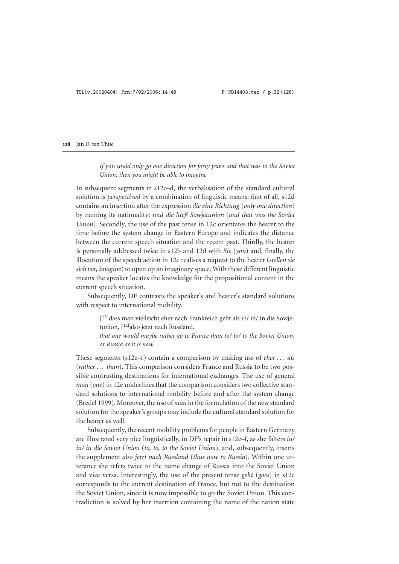*If you could only go one direction for forty years and that was to the Soviet Union, then you might be able to imagine*

In subsequent segments in s12c–d, the verbalisation of the standard cultural solution is *perspectived* by a combination of linguistic means: first of all, s12d contains an insertion after the expression *die eine Richtung* (*only one direction*) by naming its nationality: *und die hieß Sowjetunion* (*and that was the Soviet Union*). Secondly, the use of the past tense in 12c orientates the hearer to the time before the system change in Eastern Europe and indicates the distance between the current speech situation and the recent past. Thirdly, the hearer is personally addressed twice in s12b and 12d with *Sie* (*you*) and, finally, the illocution of the speech action in 12c realises a request to the hearer (*stellen sie sich vor, imagine*) to open up an imaginary space. With these different linguistic means the speaker locates the knowledge for the propositional content in the current speech situation.

Subsequently, DF contrasts the speaker's and hearer's standard solutions with respect to international mobility.

> [12edass man vielleicht eher nach Frankreich geht als in/ in/ in die Sowjetunion, [<sup>12f</sup>also jetzt nach Russland.

> *that one would maybe rather go to France than to/ to/ to the Soviet Union, or Russia as it is now.*

These segments (s12e–f) contain a comparison by making use of *eher . . . als* (*rather . . . than*). This comparison considers France and Russia to be two possible contrasting destinations for international exchanges. The use of general *man* (*one*) in 12e underlines that the comparison considers two collective standard solutions to international mobility before and after the system change (Bredel 1999). Moreover, the use of *man* in the formulation of the new standard solution for the speaker's groups may include the cultural standard solution for the hearer as well.

Subsequently, the recent mobility problems for people in Eastern Germany are illustrated very nice linguistically, in DF's repair in s12e–f, as she falters *in/ in/ in die Soviet Union* (*to, to, to the Soviet Union*), and, subsequently, inserts the supplement *also jetzt nach Russland* (*thus now to Russia*). Within one utterance she refers twice to the name change of Russia into the Soviet Union and vice versa. Interestingly, the use of the present tense *geht* (*goes*) in s12e corresponds to the current destination of France, but not to the destination the Soviet Union, since it is now impossible to go the Soviet Union. This contradiction is solved by her insertion containing the name of the nation state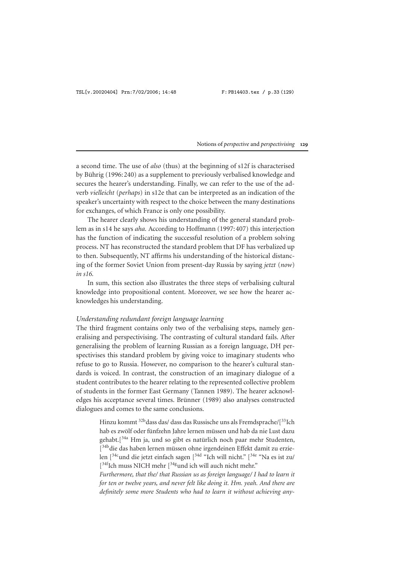a second time. The use of *also* (thus) at the beginning of s12f is characterised by Bührig (1996:240) as a supplement to previously verbalised knowledge and secures the hearer's understanding. Finally, we can refer to the use of the adverb *vielleicht* (*perhaps*) in s12e that can be interpreted as an indication of the speaker's uncertainty with respect to the choice between the many destinations for exchanges, of which France is only one possibility.

The hearer clearly shows his understanding of the general standard problem as in s14 he says *aha.* According to Hoffmann (1997:407) this interjection has the function of indicating the successful resolution of a problem solving process. NT has reconstructed the standard problem that DF has verbalized up to then. Subsequently, NT affirms his understanding of the historical distancing of the former Soviet Union from present-day Russia by saying *jetzt* (*now*) *in s16.*

In sum, this section also illustrates the three steps of verbalising cultural knowledge into propositional content. Moreover, we see how the hearer acknowledges his understanding.

# *Understanding redundant foreign language learning*

The third fragment contains only two of the verbalising steps, namely generalising and perspectivising. The contrasting of cultural standard fails. After generalising the problem of learning Russian as a foreign language, DH perspectivises this standard problem by giving voice to imaginary students who refuse to go to Russia. However, no comparison to the hearer's cultural standards is voiced. In contrast, the construction of an imaginary dialogue of a student contributes to the hearer relating to the represented collective problem of students in the former East Germany (Tannen 1989). The hearer acknowledges his acceptance several times. Brünner (1989) also analyses constructed dialogues and comes to the same conclusions.

> Hinzu kommt <sup>32b</sup>dass das/ dass das Russische uns als Fremdsprache/[<sup>33</sup>Ich hab es zwölf oder fünfzehn Jahre lernen müssen und hab da nie Lust dazu gehabt.[34a Hm ja, und so gibt es natürlich noch paar mehr Studenten, [<sup>34b</sup>die das haben lernen müssen ohne irgendeinen Effekt damit zu erzielen [34cund die jetzt einfach sagen [34d "Ich will nicht." [34e "Na es ist zu/  $[34f]$ ch muss NICH mehr  $[34g]$ und ich will auch nicht mehr."

> *Furthermore, that the/ that Russian us as foreign language/ I had to learn it for ten or twelve years, and never felt like doing it. Hm. yeah. And there are definitely some more Students who had to learn it without achieving any-*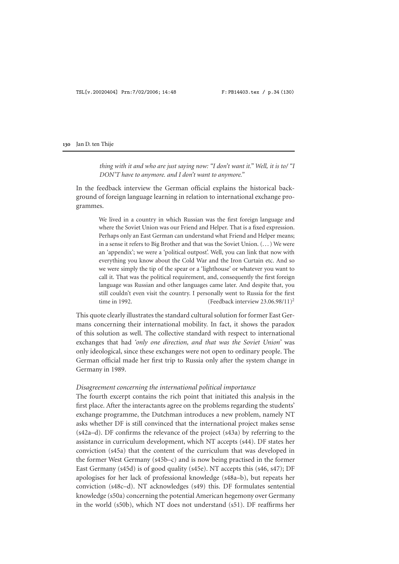*thing with it and who are just saying now: "I don't want it." Well, it is to/ "I DON'T have to anymore. and I don't want to anymore."*

In the feedback interview the German official explains the historical background of foreign language learning in relation to international exchange programmes.

> We lived in a country in which Russian was the first foreign language and where the Soviet Union was our Friend and Helper. That is a fixed expression. Perhaps only an East German can understand what Friend and Helper means; in a sense it refers to Big Brother and that was the Soviet Union. (. . . ) We were an 'appendix'; we were a 'political outpost'. Well, you can link that now with everything you know about the Cold War and the Iron Curtain etc. And so we were simply the tip of the spear or a 'lighthouse' or whatever you want to call it. That was the political requirement, and, consequently the first foreign language was Russian and other languages came later. And despite that, you still couldn't even visit the country. I personally went to Russia for the first time in 1992. (Feedback interview  $23.06.98/11$ )<sup>2</sup>

This quote clearly illustrates the standard cultural solution for former East Germans concerning their international mobility. In fact, it shows the paradox of this solution as well. The collective standard with respect to international exchanges that had *'only one direction, and that was the Soviet Union'* was only ideological, since these exchanges were not open to ordinary people. The German official made her first trip to Russia only after the system change in Germany in 1989.

# *Disagreement concerning the international political importance*

The fourth excerpt contains the rich point that initiated this analysis in the first place. After the interactants agree on the problems regarding the students' exchange programme, the Dutchman introduces a new problem, namely NT asks whether DF is still convinced that the international project makes sense (s42a–d). DF confirms the relevance of the project (s43a) by referring to the assistance in curriculum development, which NT accepts (s44). DF states her conviction (s45a) that the content of the curriculum that was developed in the former West Germany (s45b–c) and is now being practised in the former East Germany (s45d) is of good quality (s45e). NT accepts this (s46, s47); DF apologises for her lack of professional knowledge (s48a–b), but repeats her conviction (s48c–d). NT acknowledges (s49) this. DF formulates sentential knowledge (s50a) concerning the potential American hegemony over Germany in the world (s50b), which NT does not understand (s51). DF reaffirms her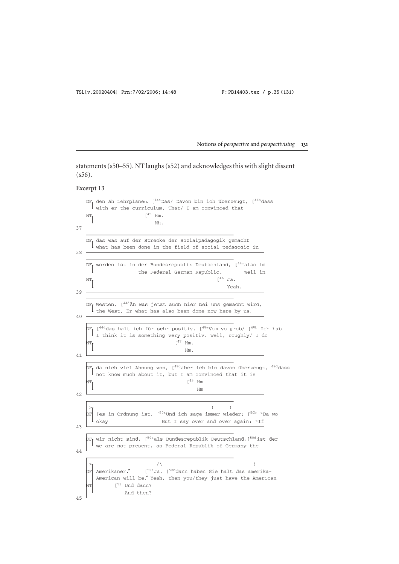statements (s50–55). NT laughs (s52) and acknowledges this with slight dissent (s56).

**Excerpt 13**

.<br>DF, den äh Lehrplänen. [<sup>44a</sup>Das/ Davon bin ich überzeugt, [<sup>44b</sup>dass with er the curriculum. That/ I am convinced that  $\int^{45}$  Hm. Mh. 37 DF<sub>I</sub> das was auf der Strecke der Sozialpädagogik gemacht what has been done in the field of social pedagogic in 38 worden ist in der Bundesrepublik Deutschland, [<sup>44c</sup>also im 'nғ, the Federal German Republic. Well in  $[$ <sup>46</sup> Ja. NΊ Yeah. 39  $\mathsf{DF}_{\mathsf{F}}$  Westen, [<sup>44d</sup>Ah was jetzt auch hier bei uns gemacht wird, I the West. Er what has also been done now here by us,  $\Lambda$  0  $\mathsf{DF}_{\mathsf{F}}$  [<sup>44d</sup>das halt ich für sehr positiv. [<sup>48a</sup>Vom vo grob/ [<sup>48b</sup> Ich hab I I think it is something very positiv. Well, roughly/ I do  $[$ <sup>47</sup> Hm. NΤ Hm.  $41$ PF<sub>r</sub> da nich viel Ahnung von, [<sup>48c</sup>aber ich bin davon überzeugt, <sup>48d</sup>dass I not know much about it, but I am convinced that it is  $149$  Hm Nт  $Hm$ 42  $\mathbf{I}$  $\mathbf{I}$ [es in Ordnung ist. [<sup>50a</sup>Und ich sage immer wieder: [<sup>50b</sup> "Da wo okay But I say over and over again: "If 43 DF<sub>I</sub> wir nicht sind, [<sup>50c</sup>als Bundesrepublik Deutschland,[<sup>50d</sup>ist der we are not present, as Federal Republik of Germany the 44  $/\!\!/\chi$  $\mathbf{1}$ [<sup>50a</sup>Ja, [<sup>52b</sup>dann haben Sie halt das amerika-Amerikaner." DF American will be." Yeah, then you/they just have the American  $[$ <sup>51</sup> Und dann? And then?

45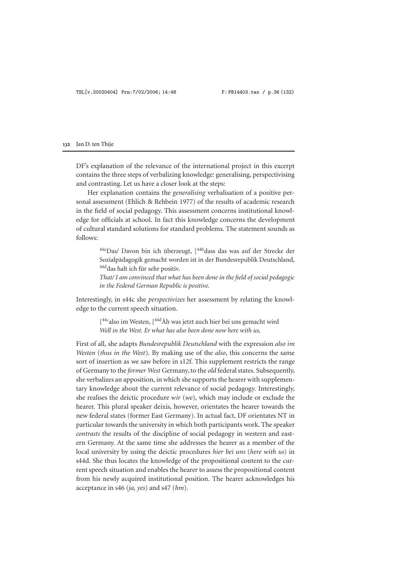DF's explanation of the relevance of the international project in this excerpt contains the three steps of verbalizing knowledge: generalising, perspectivising and contrasting. Let us have a closer look at the steps:

Her explanation contains the *generalising* verbalisation of a positive personal assessment (Ehlich & Rehbein 1977) of the results of academic research in the field of social pedagogy. This assessment concerns institutional knowledge for officials at school. In fact this knowledge concerns the development of cultural standard solutions for standard problems. The statement sounds as follows:

> <sup>44a</sup>Das/ Davon bin ich überzeugt, <sup>[44b</sup>dass das was auf der Strecke der Sozialpädagogik gemacht worden ist in der Bundesrepublik Deutschland, <sup>44d</sup>das halt ich für sehr positiv.

> *That/ I am convinced that what has been done in the field of social pedagogic in the Federal German Republic is positive.*

Interestingly, in s44c she *perspectivizes* her assessment by relating the knowledge to the current speech situation.

> [44calso im Westen, [44dÄh was jetzt auch hier bei uns gemacht wird *Well in the West. Er what has also been done now here with us,*

First of all, she adapts *Bundesrepublik Deutschland* with the expression *also im Westen* (*thus in the West*). By making use of the *also*, this concerns the same sort of insertion as we saw before in s12f. This supplement restricts the range of Germany to the *former West* Germany, to the *old* federal states. Subsequently, she verbalizes an apposition, in which she supports the hearer with supplementary knowledge about the current relevance of social pedagogy. Interestingly, she realises the deictic procedure *wir* (*we*), which may include or exclude the hearer. This plural speaker deixis, however, orientates the hearer towards the new federal states (former East Germany). In actual fact, DF orientates NT in particular towards the university in which both participants work. The speaker *contrasts* the results of the discipline of social pedagogy in western and eastern Germany. At the same time she addresses the hearer as a member of the local university by using the deictic procedures *hier bei uns* (*here with us*) in s44d. She thus locates the knowledge of the propositional content to the current speech situation and enables the hearer to assess the propositional content from his newly acquired institutional position. The hearer acknowledges his acceptance in s46 (*ja, yes*) and s47 (*hm*).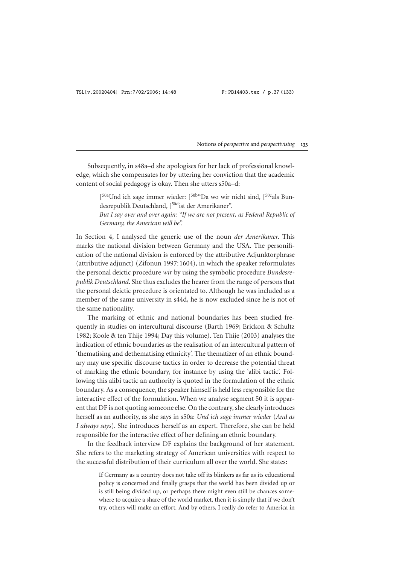Subsequently, in s48a–d she apologises for her lack of professional knowledge, which she compensates for by uttering her conviction that the academic content of social pedagogy is okay. Then she utters s50a–d:

> $[50a$ Und ich sage immer wieder:  $[50b$ <sup>"</sup>Da wo wir nicht sind,  $[50c$ <sup>30c</sup>als Bundesrepublik Deutschland, [<sup>50d</sup>ist der Amerikaner".

> *But I say over and over again: "If we are not present, as Federal Republic of Germany, the American will be".*

In Section 4, I analysed the generic use of the noun *der Amerikaner.* This marks the national division between Germany and the USA. The personification of the national division is enforced by the attributive Adjunktorphrase (attributive adjunct) (Zifonun 1997: 1604), in which the speaker reformulates the personal deictic procedure *wir* by using the symbolic procedure *Bundesrepublik Deutschland*. She thus excludes the hearer from the range of persons that the personal deictic procedure is orientated to. Although he was included as a member of the same university in s44d, he is now excluded since he is not of the same nationality.

The marking of ethnic and national boundaries has been studied frequently in studies on intercultural discourse (Barth 1969; Erickon & Schultz 1982; Koole & ten Thije 1994; Day this volume). Ten Thije (2003) analyses the indication of ethnic boundaries as the realisation of an intercultural pattern of 'thematising and dethematising ethnicity'. The thematizer of an ethnic boundary may use specific discourse tactics in order to decrease the potential threat of marking the ethnic boundary, for instance by using the 'alibi tactic'. Following this alibi tactic an authority is quoted in the formulation of the ethnic boundary. As a consequence, the speaker himself is held less responsible for the interactive effect of the formulation. When we analyse segment 50 it is apparent that DF is not quoting someone else. On the contrary, she clearly introduces herself as an authority, as she says in s50a: *Und ich sage immer wieder* (*And as I always says*). She introduces herself as an expert. Therefore, she can be held responsible for the interactive effect of her defining an ethnic boundary.

In the feedback interview DF explains the background of her statement. She refers to the marketing strategy of American universities with respect to the successful distribution of their curriculum all over the world. She states:

> If Germany as a country does not take off its blinkers as far as its educational policy is concerned and finally grasps that the world has been divided up or is still being divided up, or perhaps there might even still be chances somewhere to acquire a share of the world market, then it is simply that if we don't try, others will make an effort. And by others, I really do refer to America in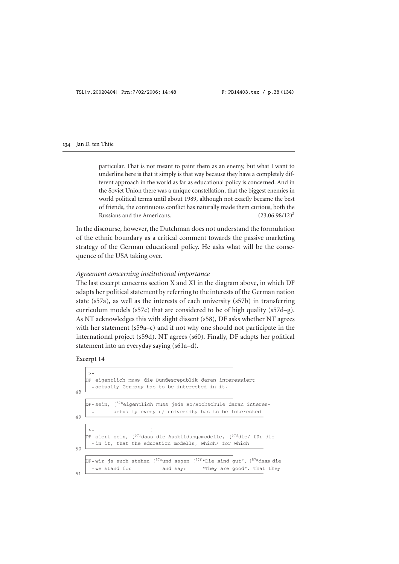particular. That is not meant to paint them as an enemy, but what I want to underline here is that it simply is that way because they have a completely different approach in the world as far as educational policy is concerned. And in the Soviet Union there was a unique constellation, that the biggest enemies in world political terms until about 1989, although not exactly became the best of friends, the continuous conflict has naturally made them curious, both the Russians and the Americans.  $(23.06.98/12)^3$ 

In the discourse, however, the Dutchman does not understand the formulation of the ethnic boundary as a critical comment towards the passive marketing strategy of the German educational policy. He asks what will be the consequence of the USA taking over.

# *Agreement concerning institutional importance*

The last excerpt concerns section X and XI in the diagram above, in which DF adapts her political statement by referring to the interests of the German nation state (s57a), as well as the interests of each university (s57b) in transferring curriculum models (s57c) that are considered to be of high quality (s57d–g). As NT acknowledges this with slight dissent (s58), DF asks whether NT agrees with her statement (s59a–c) and if not why one should not participate in the international project (s59d). NT agrees (s60). Finally, DF adapts her political statement into an everyday saying (s61a–d).

### **Excerpt 14**

eigentlich muss die Bundesrepublik daran interessiert  $l$  actually Germany has to be interested in it, rsein, [<sup>57b</sup>eigentlich muss jede Ho/Hochschule daran interes-DF actually every u/ university has to be interested

 $\overline{1}$  $\texttt{DF}\big|$  siert sein, [ $^{57\texttt{c}}$ dass die Ausbildungsmodelle, [ $^{57\texttt{d}}$ die/ für die I in it, that the education modells, which/ for which

```
50
```
 $51$ 

 $\overline{1}$ 

49

 $\mathtt{DF}_{\mathsf{\Gamma}}$ wir ja auch stehen [ $^{57\mathrm{e}}$ und sagen [ $^{57\mathrm{f}}$ "Die sind gut", [ $^{57\mathrm{g}}$ dass die L<sub>we</sub> stand for and say: "They are good". That they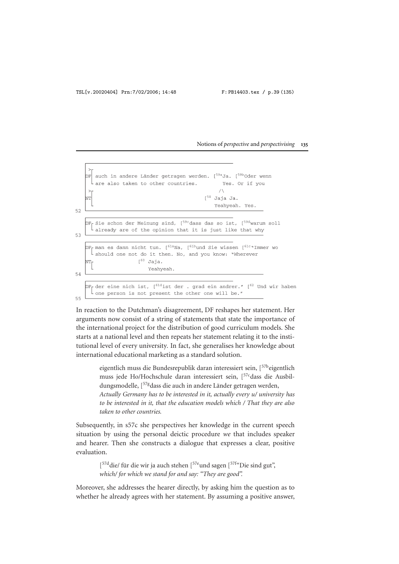```
DF auch in andere Länder getragen werden. [<sup>59a</sup>Ja. [<sup>59b</sup>Oder wenn
        are also taken to other countries.
                                                                  Yes. Or if you
                                                                 \sqrt{N}[<sup>58</sup> Jaja Ja.
    hт
                                                               Yeahyeah. Yes.
52
    |<br>|DF<sub>F</sub> Sie schon der Meinung sind, [<sup>59c</sup>dass das so ist, [<sup>59d</sup>warum soll
       Lalready are of the opinion that it is just like that why
53DF<sub>r</sub> man es dann nicht tun. [<sup>61a</sup>Na, [<sup>61b</sup>und Sie wissen [<sup>61c</sup>"Immer wo
      I should one not do it then. No, and you know: "Wherever
                            [<sup>60</sup> Jaja.
    þт.
                                 Yeahyeah.
54
    \texttt{DF}_{\bm{\Gamma}} der eine nich ist, [<sup>61d</sup>ist der . grad ein andrer." [<sup>62</sup> Und wir haben
       Lone person is not present the other one will be."
```
In reaction to the Dutchman's disagreement, DF reshapes her statement. Her arguments now consist of a string of statements that state the importance of the international project for the distribution of good curriculum models. She starts at a national level and then repeats her statement relating it to the institutional level of every university*.* In fact, she generalises her knowledge about international educational marketing as a standard solution.

55

eigentlich muss die Bundesrepublik daran interessiert sein, [<sup>57b</sup>eigentlich muss jede Ho/Hochschule daran interessiert sein, [<sup>57c</sup>dass die Ausbildungsmodelle, [57gdass die auch in andere Länder getragen werden, *Actually Germany has to be interested in it, actually every u/ university has to be interested in it, that the education models which / That they are also taken to other countries.*

Subsequently, in s57c she perspectives her knowledge in the current speech situation by using the personal deictic procedure *we* that includes speaker and hearer. Then she constructs a dialogue that expresses a clear, positive evaluation.

> $[57d$ die/ für die wir ja auch stehen  $[57e$ und sagen  $[57f^{\prime\prime}$ Die sind gut", *which/ for which we stand for and say: "They are good".*

Moreover, she addresses the hearer directly, by asking him the question as to whether he already agrees with her statement. By assuming a positive answer,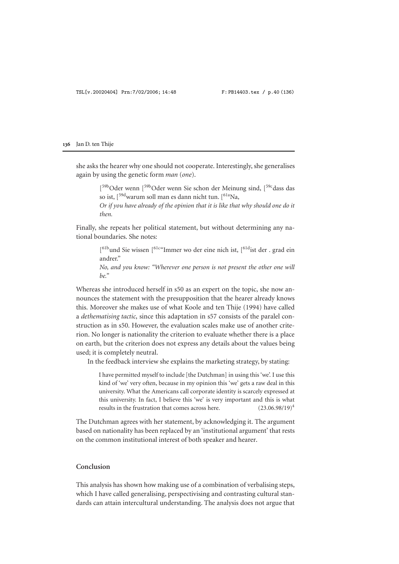she asks the hearer why one should not cooperate. Interestingly, she generalises again by using the genetic form *man* (*one*).

> [59bOder wenn [59bOder wenn Sie schon der Meinung sind, [59cdass das so ist,  $\left[59d$ warum soll man es dann nicht tun.  $\left[61a\right]Na$ , *Or if you have already of the opinion that it is like that why should one do it then.*

Finally, she repeats her political statement, but without determining any national boundaries. She notes:

> [<sup>61b</sup>und Sie wissen [<sup>61c</sup>"Immer wo der eine nich ist, [<sup>61d</sup>ist der . grad ein andrer." *No, and you know: "Wherever one person is not present the other one will*

*be."*

Whereas she introduced herself in s50 as an expert on the topic, she now announces the statement with the presupposition that the hearer already knows this. Moreover she makes use of what Koole and ten Thije (1994) have called a *dethematising tactic*, since this adaptation in s57 consists of the paralel construction as in s50. However, the evaluation scales make use of another criterion. No longer is nationality the criterion to evaluate whether there is a place on earth, but the criterion does not express any details about the values being used; it is completely neutral.

In the feedback interview she explains the marketing strategy, by stating:

I have permitted myself to include [the Dutchman] in using this 'we'. I use this kind of 'we' very often, because in my opinion this 'we' gets a raw deal in this university. What the Americans call corporate identity is scarcely expressed at this university. In fact, I believe this 'we' is very important and this is what results in the frustration that comes across here.  $(23.06.98/19)^4$ 

The Dutchman agrees with her statement, by acknowledging it. The argument based on nationality has been replaced by an 'institutional argument' that rests on the common institutional interest of both speaker and hearer.

# **Conclusion**

This analysis has shown how making use of a combination of verbalising steps, which I have called generalising, perspectivising and contrasting cultural standards can attain intercultural understanding. The analysis does not argue that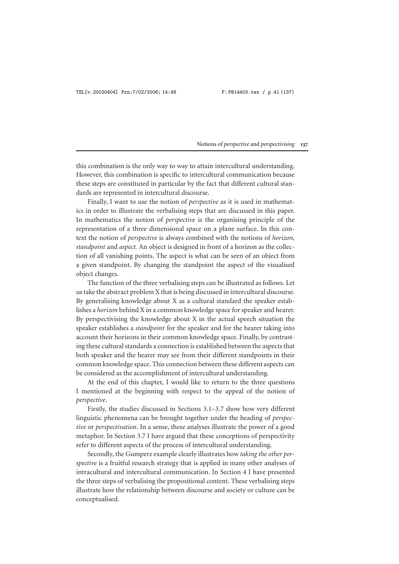this combination is the only way to way to attain intercultural understanding. However, this combination is specific to intercultural communication because these steps are constituted in particular by the fact that different cultural standards are represented in intercultural discourse.

Finally, I want to use the notion of *perspective* as it is used in mathematics in order to illustrate the verbalising steps that are discussed in this paper. In mathematics the notion of *perspective* is the organising principle of the representation of a three dimensional space on a plane surface. In this context the notion of *perspective* is always combined with the notions of *horizon, standpoint* and *aspect.* An object is designed in front of a horizon as the collection of all vanishing points. The aspect is what can be seen of an object from a given standpoint. By changing the standpoint the aspect of the visualised object changes.

The function of the three verbalising steps can be illustrated as follows. Let us take the abstract problem X that is being discussed in intercultural discourse. By generalising knowledge about X as a cultural standard the speaker establishes a *horizon* behind X in a common knowledge space for speaker and hearer. By perspectivising the knowledge about  $X$  in the actual speech situation the speaker establishes a *standpoint* for the speaker and for the hearer taking into account their horizons in their common knowledge space. Finally, by contrasting these cultural standards a connection is established between the aspects that both speaker and the hearer may see from their different standpoints in their common knowledge space. This connection between these different aspects can be considered as the accomplishment of intercultural understanding.

At the end of this chapter, I would like to return to the three questions I mentioned at the beginning with respect to the appeal of the notion of *perspective*.

Firstly, the studies discussed in Sections 3.1–3.7 show how very different linguistic phenomena can be brought together under the heading of *perspective* or *perspectivation*. In a sense, these analyses illustrate the power of a good metaphor. In Section 3.7 I have argued that these conceptions of perspectivity refer to different aspects of the process of intercultural understanding.

Secondly, the Gumperz example clearly illustrates how *taking the other perspective* is a fruitful research strategy that is applied in many other analyses of intracultural and intercultural communication. In Section 4 I have presented the three steps of verbalising the propositional content. These verbalising steps illustrate how the relationship between discourse and society or culture can be conceptualised.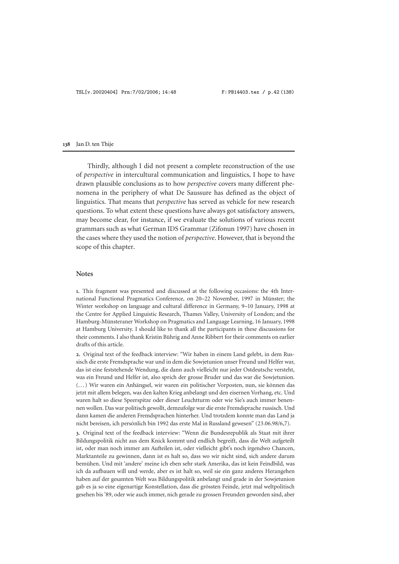Thirdly, although I did not present a complete reconstruction of the use of *perspective* in intercultural communication and linguistics, I hope to have drawn plausible conclusions as to how *perspective* covers many different phenomena in the periphery of what De Saussure has defined as the object of linguistics. That means that *perspective* has served as vehicle for new research questions. To what extent these questions have always got satisfactory answers, may become clear, for instance, if we evaluate the solutions of various recent grammars such as what German IDS Grammar (Zifonun 1997) have chosen in the cases where they used the notion of *perspective*. However, that is beyond the scope of this chapter.

#### **Notes**

**.** This fragment was presented and discussed at the following occasions: the 4th International Functional Pragmatics Conference, on 20–22 November, 1997 in Münster; the Winter workshop on language and cultural difference in Germany, 9–10 January, 1998 at the Centre for Applied Linguistic Research, Thames Valley, University of London; and the Hamburg-Münsteraner Workshop on Pragmatics and Language Learning, 16 January, 1998 at Hamburg University. I should like to thank all the participants in these discussions for their comments. I also thank Kristin Bührig and Anne Ribbert for their comments on earlier drafts of this article.

**.** Original text of the feedback interview: "Wir haben in einem Land gelebt, in dem Russisch die erste Fremdsprache war und in dem die Sowjetunion unser Freund und Helfer war, das ist eine feststehende Wendung, die dann auch vielleicht nur jeder Ostdeutsche versteht, was ein Freund und Helfer ist, also sprich der grosse Bruder und das war die Sowjetunion. (. . . ) Wir waren ein Anhängsel, wir waren ein politischer Vorposten, nun, sie können das jetzt mit allem belegen, was den kalten Krieg anbelangt und den eisernen Vorhang, etc. Und waren halt so diese Speerspitze oder dieser Leuchtturm oder wie Sie's auch immer benennen wollen. Das war politisch gewollt, demzufolge war die erste Fremdsprache russisch. Und dann kamen die anderen Fremdsprachen hinterher. Und trotzdem konnte man das Land ja nicht bereisen, ich persönlich bin 1992 das erste Mal in Russland gewesen" (23.06.98/6,7).

**.** Original text of the feedback interview: "Wenn die Bundesrepublik als Staat mit ihrer Bildungspolitik nicht aus dem Knick kommt und endlich begreift, dass die Welt aufgeteilt ist, oder man noch immer am Aufteilen ist, oder vielleicht gibt's noch irgendwo Chancen, Marktanteile zu gewinnen, dann ist es halt so, dass wo wir nicht sind, sich andere darum bemühen. Und mit 'andere' meine ich eben sehr stark Amerika, das ist kein Feindbild, was ich da aufbauen will und werde, aber es ist halt so, weil sie ein ganz anderes Herangehen haben auf der gesamten Welt was Bildungspolitik anbelangt und grade in der Sowjetunion gab es ja so eine eigenartige Konstellation, dass die grössten Feinde, jetzt mal weltpolitisch gesehen bis '89, oder wie auch immer, nich gerade zu grossen Freunden geworden sind, aber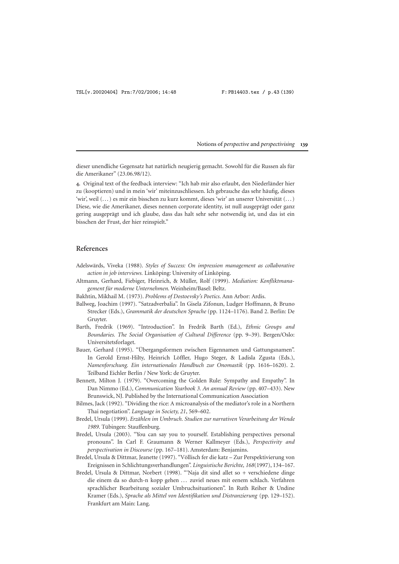dieser unendliche Gegensatz hat natürlich neugierig gemacht. Sowohl für die Russen als für die Amerikaner" (23.06.98/12).

**.** Original text of the feedback interview: "Ich hab mir also erlaubt, den Niederländer hier zu (kooptieren) und in mein 'wir' miteinzuschliessen. Ich gebrauche das sehr häufig, dieses 'wir', weil (. . . ) es mir ein bisschen zu kurz kommt, dieses 'wir' an unserer Universität (. . . ) Diese, wie die Amerikaner, dieses nennen corporate identity, ist null ausgeprägt oder ganz gering ausgeprägt und ich glaube, dass das halt sehr sehr notwendig ist, und das ist ein bisschen der Frust, der hier reinspielt."

# **References**

- Adelswärds, Viveka (1988). *Styles of Success: On impression management as collaborative action in job interviews.* Linköping: University of Linköping.
- Altmann, Gerhard, Fiebiger, Heinrich, & Müller, Rolf (1999). *Mediation: Konfliktmanagement für moderne Unternehmen.* Weinheim/Basel: Beltz.
- Bakhtin, Mikhail M. (1973). *Problems of Dostoevsky's Poetics*. Ann Arbor: Ardis.
- Ballweg, Joachim (1997). "Satzadverbalia". In Gisela Zifonun, Ludger Hoffmann, & Bruno Strecker (Eds.), *Grammatik der deutschen Sprache* (pp. 1124–1176). Band 2. Berlin: De Gruyter.
- Barth, Fredrik (1969). "Introduction". In Fredrik Barth (Ed.), *Ethnic Groups and Boundaries. The Social Organisation of Cultural Difference* (pp. 9–39). Bergen/Oslo: Universitetsforlaget.
- Bauer, Gerhard (1995). "Übergangsformen zwischen Eigennamen und Gattungsnamen". In Gerold Ernst-Hilty, Heinrich Löffler, Hugo Steger, & Ladisla Zgusta (Eds.), *Namenforschung. Ein internationales Handbuch zur Onomastik* (pp. 1616–1620). 2. Teilband Eichler Berlin / New York: de Gruyter.
- Bennett, Milton J. (1979). "Overcoming the Golden Rule: Sympathy and Empathy". In Dan Nimmo (Ed.), *Communication Yearbook 3. An annual Review* (pp. 407–433). New Brunswick, NJ. Published by the International Communication Association
- Bilmes, Jack (1992). "Dividing the rice: A microanalysis of the mediator's role in a Northern Thai negotiation". *Language in Society, 21*, 569–602.
- Bredel, Ursula (1999). *Erzählen im Umbruch. Studien zur narrativen Verarbeitung der Wende 1989*. Tübingen: Stauffenburg.
- Bredel, Ursula (2003). "You can say you to yourself. Establishing perspectives personal pronouns". In Carl F. Graumann & Werner Kallmeyer (Eds.), *Perspectivity and perspectivation in Discourse* (pp. 167–181). Amsterdam: Benjamins.
- Bredel, Ursula & Dittmar, Jeanette (1997). "Völlisch fer die katz Zur Perspektivierung von Ereignissen in Schlichtungsverhandlungen". *Linguistische Berichte, 168*(1997), 134–167.
- Bredel, Ursula & Dittmar, Norbert (1998). "'Naja dit sind allet so + verschiedene dinge die einem da so durch-n kopp gehen ... zuviel neues mit eenem schlach. Verfahren sprachlicher Bearbeitung sozialer Umbruchsituationen". In Ruth Reiher & Undine Kramer (Eds.), *Sprache als Mittel von Identifikation und Distranzierung* (pp. 129–152). Frankfurt am Main: Lang.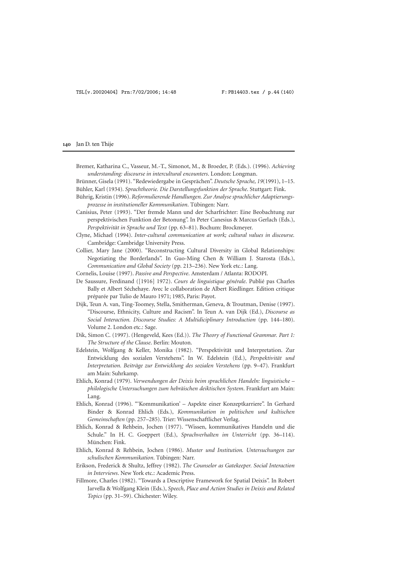- Bremer, Katharina C., Vasseur, M.-T., Simonot, M., & Broeder, P. (Eds.). (1996). *Achieving understanding: discourse in intercultural encounters*. London: Longman.
- Brünner, Gisela (1991). "Redewiedergabe in Gesprächen". *Deutsche Sprache, 19*(1991), 1–15.

Bühler, Karl (1934). *Sprachtheorie. Die Darstellungsfunktion der Sprache*. Stuttgart: Fink.

- Bührig, Kristin (1996). *Reformulierende Handlungen. Zur Analyse sprachlicher Adaptierungsprozesse in institutioneller Kommunikation*. Tübingen: Narr.
- Canisius, Peter (1993). "Der fremde Mann und der Scharfrichter: Eine Beobachtung zur perspektivischen Funktion der Betonung". In Peter Canesius & Marcus Gerlach (Eds.), *Perspektivität in Sprache und Text* (pp. 63–81). Bochum: Brockmeyer.
- Clyne, Michael (1994). *Inter-cultural communication at work; cultural values in discourse.* Cambridge: Cambridge University Press.
- Collier, Mary Jane (2000). "Reconstructing Cultural Diversity in Global Relationships: Negotiating the Borderlands". In Guo-Ming Chen & William J. Starosta (Eds.), *Communication and Global Society* (pp. 213–236). New York etc.: Lang.
- Cornelis, Louise (1997). *Passive and Perspective*. Amsterdam / Atlanta: RODOPI.
- De Saussure, Ferdinand ([1916] 1972). *Cours de linguistique générale*. Publié pas Charles Bally et Albert Séchehaye. Avec le collaboration de Albert Riedlinger. Edition critique préparée par Tulio de Mauro 1971; 1985, Paris: Payot.
- Dijk, Teun A. van, Ting-Toomey, Stella, Smitherman, Geneva, & Troutman, Denise (1997). "Discourse, Ethnicity, Culture and Racism". In Teun A. van Dijk (Ed.), *Discourse as Social Interaction. Discourse Studies: A Multidiciplinary Introduction* (pp. 144–180). Volume 2. London etc.: Sage.
- Dik, Simon C. (1997). (Hengeveld, Kees (Ed.)). *The Theory of Functional Grammar. Part 1: The Structure of the Clause*. Berlin: Mouton.
- Edelstein, Wolfgang & Keller, Monika (1982). "Perspektivität und Interpretation. Zur Entwicklung des sozialen Verstehens". In W. Edelstein (Ed.), *Perspektivität und Interpretation. Beiträge zur Entwicklung des sozialen Verstehens* (pp. 9–47). Frankfurt am Main: Suhrkamp.
- Ehlich, Konrad (1979). *Verwendungen der Deixis beim sprachlichen Handeln: linguistische – philologische Untersuchungen zum hebräischen deiktischen System*. Frankfurt am Main: Lang.
- Ehlich, Konrad (1996). "'Kommunikation' Aspekte einer Konzeptkarriere". In Gerhard Binder & Konrad Ehlich (Eds.), *Kommunikation in politischen und kultischen Gemeinschaften* (pp. 257–285). Trier: Wissenschaftlicher Verlag.
- Ehlich, Konrad & Rehbein, Jochen (1977). "Wissen, kommunikatives Handeln und die Schule." In H. C. Goeppert (Ed.), *Sprachverhalten im Unterricht* (pp. 36–114). München: Fink.
- Ehlich, Konrad & Rehbein, Jochen (1986). *Muster und Institution. Untersuchungen zur schulischen Kommunikation*. Tübingen: Narr.
- Erikson, Frederick & Shultz, Jeffrey (1982). *The Counselor as Gatekeeper. Social Interaction in Interviews*. New York etc.: Academic Press.
- Fillmore, Charles (1982). "Towards a Descriptive Framework for Spatial Deixis". In Robert Jarvella & Wolfgang Klein (Eds.), *Speech, Place and Action Studies in Deixis and Related Topics* (pp. 31–59). Chichester: Wiley.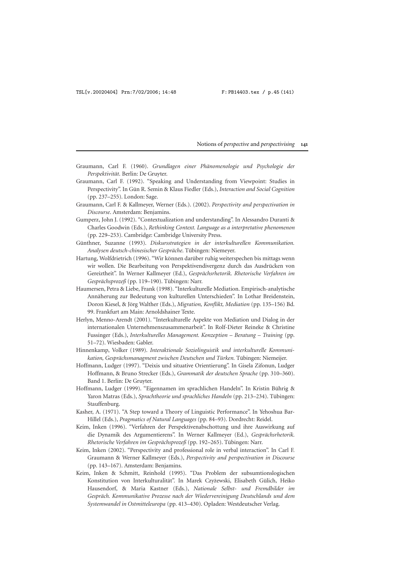- Graumann, Carl F. (1960). *Grundlagen einer Phänomenologie und Psychologie der Perspektivität*. Berlin: De Gruyter.
- Graumann, Carl F. (1992). "Speaking and Understanding from Viewpoint: Studies in Perspectivity". In Gün R. Semin & Klaus Fiedler (Eds.), *Interaction and Social Cognition* (pp. 237–255). London: Sage.
- Graumann, Carl F. & Kallmeyer, Werner (Eds.). (2002). *Perspectivity and perspectivation in Discourse*. Amsterdam: Benjamins.
- Gumperz, John J. (1992). "Contextualization and understanding". In Alessandro Duranti & Charles Goodwin (Eds.), *Rethinking Context. Language as a interpretative phenomenon* (pp. 229–253). Cambridge: Cambridge University Press.
- Günthner, Suzanne (1993). *Diskursstrategien in der interkulturellen Kommunikation. Analysen deutsch-chinesischer Gespräche*. Tübingen: Niemeyer.
- Hartung, Wolfdrietrich (1996). "Wir können darüber ruhig weiterspechen bis mittags wenn wir wollen. Die Bearbeitung von Perspektivendivergenz durch das Ausdrücken von Gereiztheit". In Werner Kallmeyer (Ed.), *Gesprächsrhetorik. Rhetorische Verfahren im Gesprächsprozeß* (pp. 119–190). Tübingen: Narr.
- Haumersen, Petra & Liebe, Frank (1998). "Interkulturelle Mediation. Empirisch-analytische Annäherung zur Bedeutung von kulturellen Unterschieden". In Lothar Breidenstein, Doron Kiesel, & Jörg Walther (Eds.), *Migration, Konflikt, Mediation* (pp. 135–156) Bd. 99. Frankfurt am Main: Arnoldshainer Texte.
- Herlyn, Menno-Arendt (2001). "Interkulturelle Aspekte von Mediation und Dialog in der internationalen Unternehmenszusammenarbeit". In Rolf-Dieter Reineke & Christine Fussinger (Eds.), *Interkulturelles Management. Konzeption – Beratung – Training* (pp. 51–72). Wiesbaden: Gabler.
- Hinnenkamp, Volker (1989). *Interaktionale Soziolinguistik und interkulturelle Kommunikation, Gesprächsmanagment zwischen Deutschen und Türken.* Tübingen: Niemeijer.
- Hoffmann, Ludger (1997). "Deixis und situative Orientierung". In Gisela Zifonun, Ludger Hoffmann, & Bruno Strecker (Eds.), *Grammatik der deutschen Sprache* (pp. 310–360). Band 1. Berlin: De Gruyter.
- Hoffmann, Ludger (1999). "Eigennamen im sprachlichen Handeln". In Kristin Bührig & Yaron Matras (Eds.), *Sprachtheorie und sprachliches Handeln* (pp. 213–234). Tübingen: Stauffenburg.
- Kasher, A. (1971). "A Step toward a Theory of Linguistic Performance". In Yehoshua Bar-Hillel (Eds.), *Pragmatics of Natural Languages* (pp. 84–93). Dordrecht: Reidel.
- Keim, Inken (1996). "Verfahren der Perspektivenabschottung und ihre Auswirkung auf die Dynamik des Argumentierens". In Werner Kallmeyer (Ed.), *Gesprächsrhetorik. Rhetorische Verfahren im Gesprächsprozeß* (pp. 192–265). Tübingen: Narr.
- Keim, Inken (2002). "Perspectivity and professional role in verbal interaction". In Carl F. Graumann & Werner Kallmeyer (Eds.), *Perspectivity and perspectivation in Discourse* (pp. 143–167). Amsterdam: Benjamins.
- Keim, Inken & Schmitt, Reinhold (1995). "Das Problem der subsumtionslogischen Konstitution von Interkulturalität". In Marek Czyżewski, Elisabeth Gülich, Heiko Hausendorf, & Maria Kastner (Eds.), *Nationale Selbst- und Fremdbilder im Gespräch. Kommunikative Prozesse nach der Wiedervereinigung Deutschlands und dem Systemwandel in Ostmitteleuropa* (pp. 413–430). Opladen: Westdeutscher Verlag.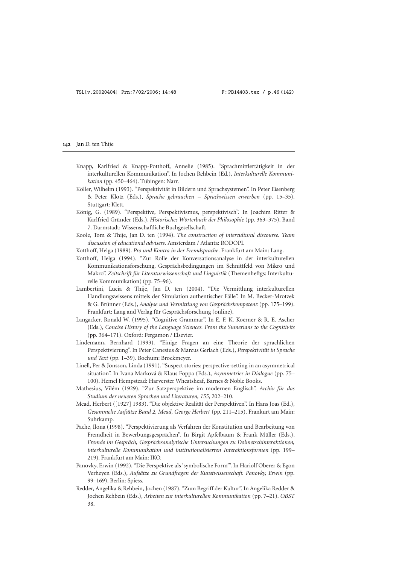- Knapp, Karlfried & Knapp-Potthoff, Annelie (1985). "Sprachmittlertätigkeit in der interkulturellen Kommunikation". In Jochen Rehbein (Ed.), *Interkulturelle Kommunikation* (pp. 450–464). Tübingen: Narr.
- Köller, Wilhelm (1993). "Perspektivität in Bildern und Sprachsystemen". In Peter Eisenberg & Peter Klotz (Eds.), *Sprache gebrauchen – Sprachwissen erwerben* (pp. 15–35). Stuttgart: Klett.
- König, G. (1989). "Perspektive, Perspektivismus, perspektivisch". In Joachim Ritter & Karlfried Gründer (Eds.), *Historisches Wörterbuch der Philosophie* (pp. 363–375). Band 7. Darmstadt: Wissenschaftliche Buchgesellschaft.
- Koole, Tom & Thije, Jan D. ten (1994). *The construction of intercultural discourse. Team discussion of educational advisers*. Amsterdam / Atlanta: RODOPI.
- Kotthoff, Helga (1989). *Pro und Kontra in der Fremdsprache*. Frankfurt am Main: Lang.
- Kotthoff, Helga (1994). "Zur Rolle der Konversationsanalyse in der interkulturellen Kommunikationsforschung, Gesprächsbedingungen im Schnittfeld von Mikro und Makro". *Zeitschrift für Literaturwissenschaft und Linguistik* (Themenheftgs: Interkulturelle Kommunikation) (pp. 75–96).
- Lambertini, Lucia & Thije, Jan D. ten (2004). "Die Vermittlung interkulturellen Handlungswissens mittels der Simulation authentischer Fälle". In M. Becker-Mrotzek & G. Brünner (Eds.), *Analyse und Vermittlung von Gesprächskompetenz* (pp. 175–199). Frankfurt: Lang and Verlag für Gesprächsforschung (online).
- Langacker, Ronald W. (1995). "Cognitive Grammar". In E. F. K. Koerner & R. E. Ascher (Eds.), *Concise History of the Language Sciences. From the Sumerians to the Cognitivits* (pp. 364–171). Oxford: Pergamon / Elsevier.
- Lindemann, Bernhard (1993). "Einige Fragen an eine Theorie der sprachlichen Perspektivierung". In Peter Canesius & Marcus Gerlach (Eds.), *Perspektivität in Sprache und Text* (pp. 1–39). Bochum: Brockmeyer.
- Linell, Per & Jönsson, Linda (1991). "Suspect stories: perspective-setting in an asymmetrical situation". In Ivana Marková & Klaus Foppa (Eds.), *Asymmetries in Dialogue* (pp. 75– 100). Hemel Hempstead: Harverster Wheatsheaf, Barnes & Noble Books.
- Mathesius, Vilém (1929). "Zur Satzperspektive im modernen Englisch". *Archiv für das Studium der neueren Sprachen und Literaturen, 155*, 202–210.
- Mead, Herbert ([1927] 1983). "Die objektive Realität der Perspektiven". In Hans Joas (Ed.), *Gesammelte Aufsätze Band 2, Mead, George Herbert* (pp. 211–215). Frankurt am Main: Suhrkamp.
- Pache, Ilona (1998). "Perspektivierung als Verfahren der Konstitution und Bearbeitung von Fremdheit in Bewerbungsgesprächen". In Birgit Apfelbaum & Frank Müller (Eds.), *Fremde im Gespräch, Gesprächsanalytische Untersuchungen zu Dolmetschinteraktionen, interkulturelle Kommunikation und institutionalisierten Interaktionsformen* (pp. 199– 219). Frankfurt am Main: IKO.
- Panovky, Erwin (1992). "Die Perspektive als 'symbolische Form"'. In Hariolf Oberer & Egon Verheyen (Eds.), *Aufsätze zu Grundfragen der Kunstwissenschaft. Panovky, Erwin* (pp. 99–169). Berlin: Spiess.
- Redder, Angelika & Rehbein, Jochen (1987). "Zum Begriff der Kultur". In Angelika Redder & Jochen Rehbein (Eds.), *Arbeiten zur interkulturellen Kommunikation* (pp. 7–21). *OBST* 38.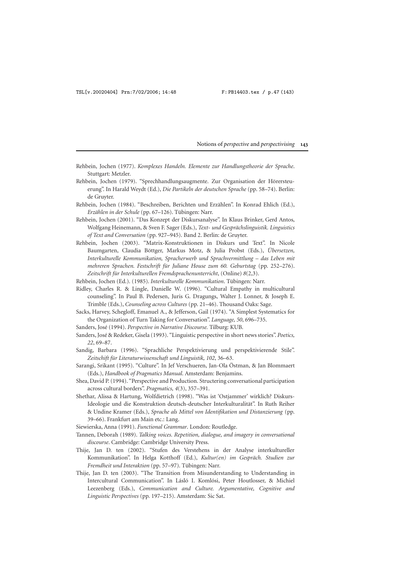- Rehbein, Jochen (1977). *Komplexes Handeln. Elemente zur Handlungstheorie der Sprache*. Stuttgart: Metzler.
- Rehbein, Jochen (1979). "Sprechhandlungsaugmente. Zur Organisation der Hörersteuerung". In Harald Weydt (Ed.), *Die Partikeln der deutschen Sprache* (pp. 58–74). Berlin: de Gruyter.
- Rehbein, Jochen (1984). "Beschreiben, Berichten und Erzählen". In Konrad Ehlich (Ed.), *Erzählen in der Schule* (pp. 67–126). Tübingen: Narr.
- Rehbein, Jochen (2001). "Das Konzept der Diskursanalyse". In Klaus Brinker, Gerd Antos, Wolfgang Heinemann, & Sven F. Sager (Eds.), *Text- und Gesprächslinguistik. Linguistics of Text and Conversation* (pp. 927–945). Band 2. Berlin: de Gruyter.
- Rehbein, Jochen (2003). "Matrix-Konstruktionen in Diskurs und Text". In Nicole Baumgarten, Claudia Böttger, Markus Motz, & Julia Probst (Eds.), *Übersetzen, Interkulturelle Kommunikation, Spracherwerb und Sprachvermittlung – das Leben mit mehreren Sprachen. Festschrift für Juliane House zum 60. Geburtstag* (pp. 252–276). *Zeitschrift für Interkulturellen Fremdsprachenunterricht*, (Online) *8*(2,3).

Rehbein, Jochen (Ed.). (1985). *Interkulturelle Kommunikation*. Tübingen: Narr.

- Ridley, Charles R. & Lingle, Danielle W. (1996). "Cultural Empathy in multicultural counseling". In Paul B. Pedersen, Juris G. Dragungs, Walter J. Lonner, & Joseph E. Trimble (Eds.), *Counseling across Cultures* (pp. 21–46). Thousand Oaks: Sage.
- Sacks, Harvey, Schegloff, Emanuel A., & Jefferson, Gail (1974). "A Simplest Systematics for the Organization of Turn Taking for Conversation". *Language, 50*, 696–735.
- Sanders, José (1994). *Perspective in Narrative Discourse.* Tilburg: KUB.
- Sanders, José & Redeker, Gisela (1993). "Linguistic perspective in short news stories". *Poetics, 22*, 69–87.
- Sandig, Barbara (1996). "Sprachliche Perspektivierung und perspektivierende Stile". *Zeitschift für Literaturwissenschaft und Linguistik, 102*, 36–63.
- Sarangi, Srikant (1995). "Culture". In Jef Verschueren, Jan-Ola Östman, & Jan Blommaert (Eds.), *Handbook of Pragmatics Manual*. Amsterdam: Benjamins.
- Shea, David P. (1994). "Perspective and Production. Structering conversational participation across cultural borders". *Pragmatics, 4*(3), 357–391.
- Shethar, Alissa & Hartung, Wolfdietrich (1998). "Was ist 'Ostjammer' wirklich? Diskurs-Ideologie und die Konstruktion deutsch-deutscher Interkulturalität". In Ruth Reiher & Undine Kramer (Eds.), *Sprache als Mittel von Identifikation und Distanzierung* (pp. 39–66). Frankfurt am Main etc.: Lang.
- Siewierska, Anna (1991). *Functional Grammar*. London: Routledge.
- Tannen, Deborah (1989). *Talking voices. Repetition, dialogue, and imagery in conversational discourse*. Cambridge: Cambridge University Press.
- Thije, Jan D. ten (2002). "Stufen des Verstehens in der Analyse interkultureller Kommunikation". In Helga Kotthoff (Ed.), *Kultur(en) im Gespräch. Studien zur Fremdheit und Interaktion* (pp. 57–97). Tübingen: Narr.
- Thije, Jan D. ten (2003). "The Transition from Misunderstanding to Understanding in Intercultural Communication". In Lásló I. Komlósi, Peter Houtlosser, & Michiel Leezenberg (Eds.), *Communication and Culture. Argumentative, Cognitive and Linguistic Perspectives* (pp. 197–215). Amsterdam: Sic Sat.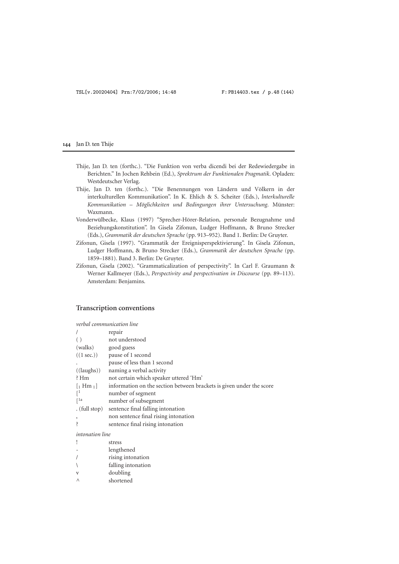- Thije, Jan D. ten (forthc.). "Die Funktion von verba dicendi bei der Redewiedergabe in Berichten." In Jochen Rehbein (Ed.), *Sprektrum der Funktionalen Pragmatik*. Opladen: Westdeutscher Verlag.
- Thije, Jan D. ten (forthc.). "Die Benennungen von Ländern und Völkern in der interkulturellen Kommunikation". In K. Ehlich & S. Scheiter (Eds.), *lnterkulturelle Kommunikation – Möglichkeiten und Bedingungen ihrer Untersuchung*. Münster: Waxmann.
- Vonderwülbecke, Klaus (1997) "Sprecher-Hörer-Relation, personale Bezugnahme und Beziehungskonstitution". In Gisela Zifonun, Ludger Hoffmann, & Bruno Strecker (Eds.), *Grammatik der deutschen Sprache* (pp. 913–952). Band 1. Berlin: De Gruyter.
- Zifonun, Gisela (1997). "Grammatik der Ereignisperspektivierung". In Gisela Zifonun, Ludger Hoffmann, & Bruno Strecker (Eds.), *Grammatik der deutschen Sprache* (pp. 1859–1881). Band 3. Berlin: De Gruyter.
- Zifonun, Gisela (2002). "Grammaticalization of perspectivity". In Carl F. Graumann & Werner Kallmeyer (Eds.), *Perspectivity and perspectivation in Discourse* (pp. 89–113). Amsterdam: Benjamins.

### **Transcription conventions**

*verbal communication line*

|                            | repair                                                               |
|----------------------------|----------------------------------------------------------------------|
|                            | not understood                                                       |
| (walks)                    | good guess                                                           |
|                            | $((1 sec.))$ pause of 1 second                                       |
|                            | pause of less than 1 second                                          |
| $((\text{laughs}))$        | naming a verbal activity                                             |
| ? Hm                       | not certain which speaker uttered 'Hm'                               |
| $\lfloor_1$ Hm $\lfloor_1$ | information on the section between brackets is given under the score |
| Ľ                          | number of segment                                                    |
| ⊺ la                       | number of subsegment                                                 |
| . (full stop)              | sentence final falling intonation                                    |
| $\mathcal{L}$              | non sentence final rising intonation                                 |
| ś                          | sentence final rising intonation                                     |
| <i>intonation line</i>     |                                                                      |
|                            | stress                                                               |
|                            | lengthened                                                           |
|                            | rising intonation                                                    |
|                            | falling intonation                                                   |

- v doubling
- ^ shortened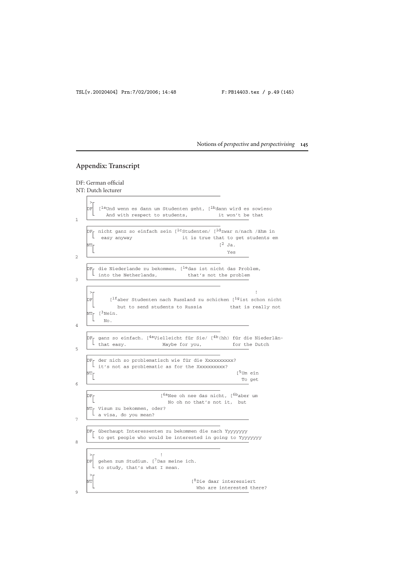# **Appendix: Transcript**

DF: German official NT: Dutch lecturer

 $\overline{1}$ 

 $\overline{a}$ 

 $\overline{3}$ 

 $\overline{4}$ 

5

 $6\overline{6}$ 

 $\overline{7}$ 

 $\beta$ 

ЬFІ  $1^{1a}$ Und wenn es dann um Studenten geht,  $1^{1b}$ dann wird es sowieso And with respect to students, it won't be that pr<sub>r</sub> nicht ganz so einfach sein [<sup>1c</sup>Studenten/ [<sup>1d</sup>zwar n/nach /ähm in  $\lfloor$ it is true that to get students em easy anyway  $\mathbb{M}\mathbb{F}_\Gamma$  $\mathsf{I}^2$  Ja. Yes  $\mathbb{P}$  die Niederlande zu bekommen,  $\begin{bmatrix} 1 & e & 0 \\ 0 & 1 & 0 \\ 0 & 0 & 1 \end{bmatrix}$  and the Netherlands, that's not the problem  $\mathbf{I}$  $\geq r$ ЬF  $[$ <sup>1f</sup>aber Studenten nach Russland zu schicken  $[$ <sup>1g</sup>ist schon nicht but to send students to Russia that is really not NT<sub>r</sub> [<sup>3</sup>Nein.  $_{\rm No}$  . DF<sub>r</sub> ganz so einfach. [<sup>4a</sup>Vielleicht für Sie/ [<sup>4b</sup> (hh) für die Niederlän-L that easy. Maybe for you, for the Dutch DF<sub>r</sub> der nich so problematisch wie für die Xxxxxxxxxx?  $L$  it's not as problematic as for the Xxxxxxxxxx?  $1<sup>5</sup>$ Um ein  $N T_{\Gamma}$ To get  $\overline{PF_{\begin{bmatrix} \phantom{F^2} \end{bmatrix}}$ [6aNee oh nee das nicht, [6baber um No oh no that's not it, but NT<sub>r</sub> Visum zu bekommen, oder?  $\perp$  a visa, do you mean? DF<sub>r</sub> überhaupt Interessenten zu bekommen die nach Yyyyyyy I to get people who would be interested in going to Yyyyyyy  $\pm$  $DF$  gehen zum Studium. [ $7$ Das meine ich.  $L$  to study, that's what I mean.  $\geq$ kтl  $[8$ Die daar interessiert Who are interested there?

 $\overline{Q}$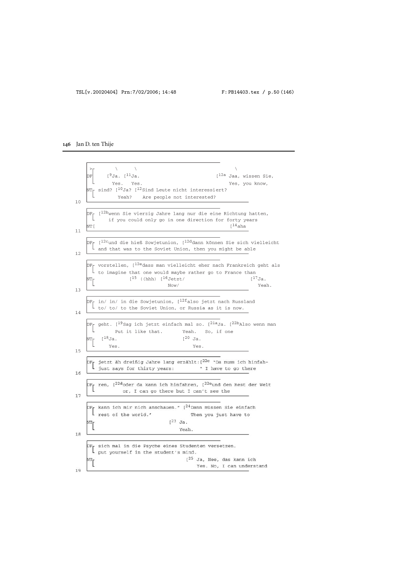$\Delta V$  and  $\Delta V$ X  $[$ 12a Jaa, wissen Sie, ЬF  $[{}^{9}$ Ja.  $[{}^{11}$ Ja. Yes. Yes. Yes, you know,  $NT<sub>Γ</sub>$  sind? [ $^{10}$ Ja? [ $^{12}$ Sind Leute nicht interessiert? Yeah? Are people not interested?  $1<sub>0</sub>$  $\mathbb{P}$ F<sub>F</sub> [<sup>12b</sup>wenn Sie vierzig Jahre lang nur die eine Richtung hatten,  $\perp$ if you could only go in one direction for forty years  $1^4$ aha NT [  $11$ DF<sub>r</sub> [<sup>12c</sup>und die hieß Sowjetunion, [<sup>12d</sup>dann können Sie sich vielleicht I and that was to the Soviet Union, then you might be able  $12$ DF<sub>r</sub> vorstellen, [<sup>12e</sup>dass man vielleicht eher nach Frankreich geht als L to imagine that one would maybe rather go to France than  $NT<sub>Γ</sub>$  $[$ <sup>15</sup> ((hhh)  $[$ <sup>16</sup>Jetzt/  $I^{17}$ Ja. Now/ Yeah.  $13$  $\sigma_{\text{FF}}$  in/ in/ in die Sowjetunion, [<sup>12f</sup>also jetzt nach Russland  $\lfloor$  to/ to/ to the Soviet Union, or Russia as it is now.  $14$ DF<sub>r</sub> geht. [<sup>19</sup>Sag ich jetzt einfach mal so. [<sup>21a</sup>Ja. [<sup>22b</sup>Also wenn man Put it like that. Yeah. So, if one  $1^8$ Ja.  $1^{20}$  Ja.  $NT \perp$ Yes. Yes.  $15$ DF<sub>r</sub> jetzt äh dreißig Jahre lang erzählt: [<sup>22c</sup> "Da muss ich hinfah $l$  just says for thirty years: " I have to go there 16 DF<sub>r</sub> ren, [<sup>22d</sup>oder da kann ich hinfahren, [<sup>22e</sup>und den Rest der Welt or, I can go there but I can't see the  $17$ DF<sub>r</sub> kann ich mir nich anschauen." [<sup>24</sup>Dann müssen Sie einfach I rest of the world." Then you just have to  $1^{23}$  Ja. hтт Yeah.  $1R$ DF<sub>r</sub> sich mal in die Psyche eines Studenten versetzen. I put yourself in the student's mind.  $NT<sub>Γ</sub>$ [<sup>25</sup> Ja, Nee, das kann ich Yes. No, I can understand

 $19$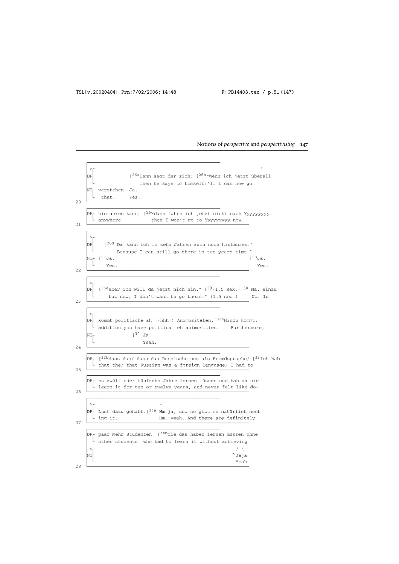$\mathfrak{t}$ DF [<sup>26a</sup>Dann sagt der sich: [<sup>26b</sup> Wenn ich jetzt überall Then he says to himself: "If I can now go verstehen. Ja. NTthat. Yes.  $20$ DF<sub>r</sub> hinfahren kann, [<sup>26c</sup>dann fahre ich jetzt nicht nach Yyyyyyyyy.  $L$  anywhere, then I won't go to Yyyyyyyy now.  $\overline{21}$ [<sup>26d</sup> Da kann ich in zehn Jahren auch noch hinfahren." DF Because I can still go there in ten years time." lмт- $[$ <sup>27</sup>Ja.  $\mathsf{I}^{28}\mathsf{Ja}$ . Yes. Yes.  $\overline{22}$  $[{}^{26}$ aber ich will da jetzt nich hin."  $[{}^{29}$  (1,5 Sek.) $[{}^{30}$  Na. Hinzu 'nғ but now, I don't want to go there." (1.5 sec.) No. In  $23$ DF kommt politische äh ((hhh)) Animositäten. [32aHinzu kommt, L addition you have political eh animosities. Furthermore,  $[30 Ja.$ NT<sub>E</sub> Yeah.  $24$  $\text{DF}_{\Gamma}$  [<sup>32b</sup>dass das/ dass das Russische uns als Fremdsprache/ [<sup>33</sup>Ich hab I that the/ that Russian was a foreign language/ I had to  $25$ DF<sub>r</sub> es zwölf oder fünfzehn Jahre lernen müssen und hab da nie L learn it for ten or twelve years, and never felt like do- $26$  $\text{DF}$  Lust dazu gehabt. [ $34a$  Hm ja, und so gibt es natürlich noch Hm. yeah. And there are definitely  $l$  ing it. 27 DF<sub>r</sub> paar mehr Studenten, [<sup>34b</sup>die das haben lernen müssen ohne I other students who had to learn it without achieving  $\mathcal{E}(\lambda)$  $\, >$  $[35$ Jaja Mт Yeah  $28$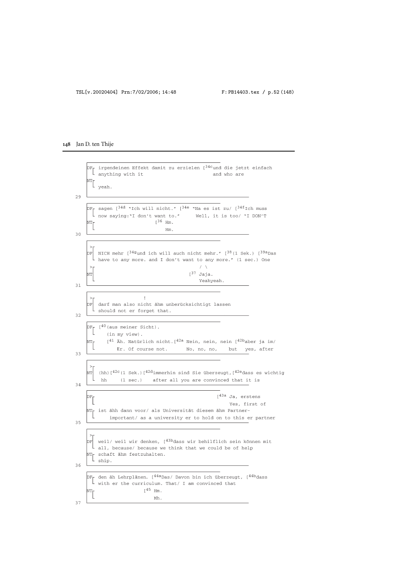|<br>|DF<sub>F</sub> irgendeinen Effekt damit zu erzielen [<sup>34c</sup>und die jetzt einfach L anything with it and who are  $NT$   $\left[\begin{array}{c} \text{uny on} \\ \text{yeah.} \end{array}\right]$  $2.9$  $DF_F$  sagen [<sup>34d</sup> "Ich will nicht." [<sup>34e</sup> "Na es ist zu/ [<sup>34f</sup>Ich muss  $\mathsf{L}$  now saying: "I don't want to." Well, it is too/ "I DON'T  $1^{36}$  Hm. lvm--1  $Hm$ .  $30$  $\text{DF}$  NICH mehr [<sup>34g</sup>und ich will auch nicht mehr." [<sup>38</sup>(1 Sek.) [<sup>39a</sup>Das L have to any more. and I don't want to any more." (1 sec.) One  $/ \lambda$  $\geq$ r  $[37$  Jaja. ' Yeahyeah.  $31$  $\mathbf{I}$ DF darf man also nicht ähm unberücksichtigt lassen I should not er forget that. 32  $DF_F$  [<sup>40</sup> (aus meiner Sicht).  $\perp$ (in my view). Mт- $[41$  Äh. Natürlich nicht.  $[42a$  Nein, nein, nein  $[42b$ aber ja im/ Er. Of course not. No, no, no, but yes, after 33 (hh)  $[42c(1 \text{ Sek.}) [42d]$ immerhin sind Sie überzeugt,  $[42e$ dass es wichtig lмтl (1 sec.) after all you are convinced that it is  ${\rm hh}$ 34  $[43a$  Ja, erstens  $DF<sub>F</sub>$ Yes, first of NT<sub>r</sub> ist ähh dann voor/ als Universität diesem ähm Partnerimportant/ as a university er to hold on to this er partner 35  $\geq$ DF weil/ weil wir denken, [43bdass wir behilflich sein können mit  $L$  all, because/ because we think that we could be of help NT<sub>r</sub> schaft ähm festzuhalten.  $\mathsf{L}_{\text{ship.}}$ 36 DF<sub>r</sub> den äh Lehrplänen. [<sup>44a</sup>Das/ Davon bin ich überzeugt, [<sup>44b</sup>dass  $\downarrow$  with er the curriculum. That/ I am convinced that  $1^{45}$  Hm.  $NTF$  $\perp$ Mh.

 $37$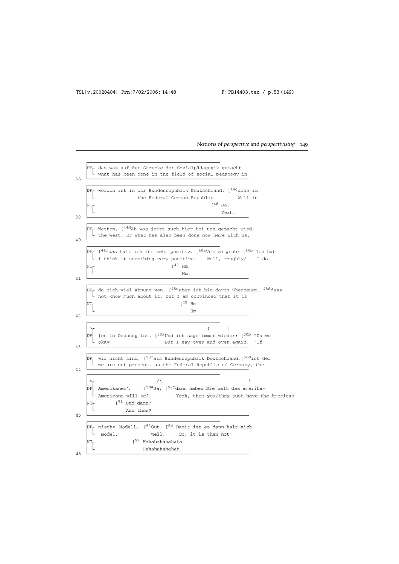DF<sub>r</sub> das was auf der Strecke der Sozialpädagogik gemacht  $\mathsf{L}$  what has been done in the field of social pedagogy in  $38$ DF<sub>r</sub> worden ist in der Bundesrepublik Deutschland, [<sup>44c</sup>also im the Federal German Republic. Well in  $[46$  Ja. NT<sub>r</sub> Yeah. 39 DF<sub>r</sub> Westen, [<sup>44d</sup>Äh was jetzt auch hier bei uns gemacht wird,  $\mathsf{L}$  the West. Er what has also been done now here with us, 40 DF<sub>r</sub> [<sup>44d</sup>das halt ich für sehr positiv. [<sup>48a</sup>Vom vo grob/ [<sup>48b</sup> Ich hab  $\perp$  I think it something very positive. Well, roughly/ I do NT- $[$   $^{47}$  Hm.  $\rm{Hm}$  . 41 DF<sub>r</sub> da nich viel Ahnung von, [<sup>48c</sup>aber ich bin davon überzeugt, <sup>48d</sup>dass  $L$  not know much about it, but I am convinced that it is  $149$  Hm  $N_{\rm T}$  $\rm{Hm}$ 42  $\mathbf{L}$  $\mathbf{I}$ DF [es in Ordnung ist. [<sup>50a</sup>Und ich sage immer wieder: [<sup>50b</sup> "Da wo But I say over and over again: "If okav 43 DF<sub>r</sub> wir nicht sind, [<sup>50c</sup>als Bundesrepublik Deutschland, [<sup>50d</sup>ist der L we are not present, as the Federal Republic of Germany, the 44  $\bigwedge$  $\mathbf{t}$ Amerikaner". [<sup>50a</sup>Ja, [<sup>52b</sup>dann haben Sie halt das amerika $hr$ Americans will be". Yeah, then you/they just have the American  $1^{51}$  Und dann? NT-And then? 45 DF<sub>r</sub> nische Modell. [53<sub>Gut. [54 Damit ist es dann halt nich</sub>  $L$  model. Well. So, it is then not  $[\,{}^{52}$ Hahahahahaha.  $NT<sub>Γ</sub>$ -L. Hahahahahah. 46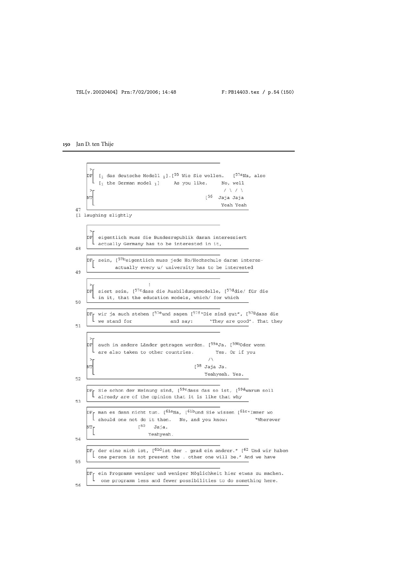$\left[1\right]$  das deutsche Modell  $1$ ].  $\left[5\right]$  Wie Sie wollen.  $\left[57\right]$ ana, also  $hr$  $[1 + 1]$  the German model  $[1]$  As you like. No. well  $1111$ [<sup>56</sup> Jaja Jaja NT Yeah Yeah 47 [1 laughing slightly eigentlich muss die Bundesrepublik daran interessiert brl actually Germany has to be interested in it, 48 DF<sub>r</sub> sein, [<sup>57b</sup>eigentlich muss jede Ho/Hochschule daran interes-Τ. actually every u/ university has to be interested 49  $\mathbf{I}$ siert sein, [57cdass die Ausbildungsmodelle, [57ddie/ für die brl I in it, that the education models, which/ for which 50 DF<sub>r</sub> wir ja auch stehen [<sup>57e</sup>und sagen [<sup>57f</sup>"Die sind gut", [<sup>57g</sup>dass die  $L$  we stand for and say: "They are good". That they 51 auch in andere Länder getragen werden. [59aJa. [59boder wenn bы are also taken to other countries. Yes. Or if you  $\wedge$  $[$   $58\,$  Jaja Ja. NT Yeahyeah. Yes. 52 DF<sub>r</sub> Sie schon der Meinung sind, [<sup>59c</sup>dass das so ist, [<sup>59d</sup>warum soll L already are of the opinion that it is like that why 53 DF<sub>r</sub> man es dann nicht tun. [<sup>61a</sup>Na, [<sup>61b</sup>und Sie wissen [<sup>61c</sup>"Immer wo I should one not do it then. No, and you know: "Wherever  $[60$  Jaja.  $NTr$ Yeahyeah. 54 DF<sub>r</sub> der eine nich ist, [<sup>61d</sup>ist der . grad ein andrer." [<sup>62</sup> Und wir haben L one person is not present the . other one will be." And we have  $55$ DF<sub>r</sub> ein Programm weniger und weniger Möglichkeit hier etwas zu machen. I one programm less and fewer possibilities to do something here. 56